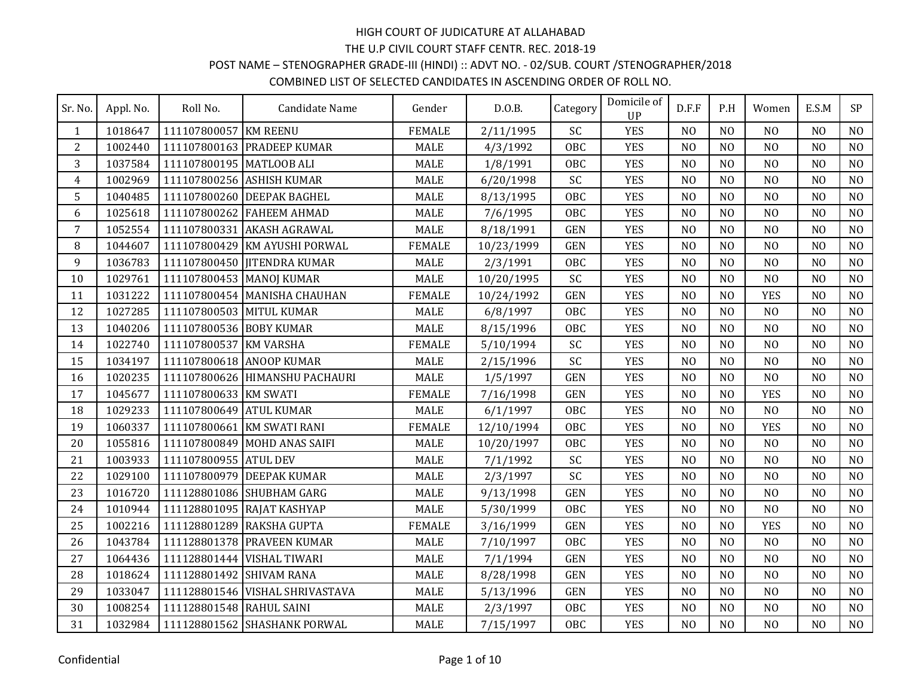## POST NAME – STENOGRAPHER GRADE-III (HINDI) :: ADVT NO. - 02/SUB. COURT /STENOGRAPHER/2018

| Sr. No.        | Appl. No. | Roll No.                 | Candidate Name                  | Gender        | D.0.B.     | Category   | Domicile of<br><b>UP</b> | D.F.F          | P.H            | Women          | E.S.M          | SP             |
|----------------|-----------|--------------------------|---------------------------------|---------------|------------|------------|--------------------------|----------------|----------------|----------------|----------------|----------------|
| $\mathbf{1}$   | 1018647   | 111107800057 KM REENU    |                                 | <b>FEMALE</b> | 2/11/1995  | SC         | <b>YES</b>               | N <sub>O</sub> | N <sub>0</sub> | N <sub>O</sub> | N <sub>0</sub> | N <sub>O</sub> |
| 2              | 1002440   |                          | 111107800163 PRADEEP KUMAR      | <b>MALE</b>   | 4/3/1992   | <b>OBC</b> | <b>YES</b>               | N <sub>O</sub> | N <sub>O</sub> | N <sub>O</sub> | N <sub>O</sub> | N <sub>O</sub> |
| 3              | 1037584   | 111107800195 MATLOOB ALI |                                 | <b>MALE</b>   | 1/8/1991   | <b>OBC</b> | <b>YES</b>               | N <sub>O</sub> | N <sub>O</sub> | N <sub>O</sub> | N <sub>O</sub> | N <sub>O</sub> |
| $\overline{4}$ | 1002969   |                          | 111107800256 ASHISH KUMAR       | <b>MALE</b>   | 6/20/1998  | SC         | <b>YES</b>               | N <sub>O</sub> | N <sub>0</sub> | N <sub>O</sub> | N <sub>0</sub> | N <sub>O</sub> |
| 5              | 1040485   |                          | 111107800260 DEEPAK BAGHEL      | <b>MALE</b>   | 8/13/1995  | <b>OBC</b> | <b>YES</b>               | N <sub>0</sub> | N <sub>0</sub> | N <sub>O</sub> | N <sub>0</sub> | N <sub>O</sub> |
| 6              | 1025618   |                          | 111107800262 FAHEEM AHMAD       | <b>MALE</b>   | 7/6/1995   | <b>OBC</b> | <b>YES</b>               | N <sub>O</sub> | N <sub>O</sub> | N <sub>O</sub> | N <sub>O</sub> | N <sub>O</sub> |
| $\overline{7}$ | 1052554   |                          | 111107800331 AKASH AGRAWAL      | <b>MALE</b>   | 8/18/1991  | <b>GEN</b> | <b>YES</b>               | N <sub>O</sub> | N <sub>0</sub> | N <sub>O</sub> | N <sub>0</sub> | N <sub>O</sub> |
| 8              | 1044607   |                          | 111107800429 KM AYUSHI PORWAL   | <b>FEMALE</b> | 10/23/1999 | <b>GEN</b> | <b>YES</b>               | N <sub>O</sub> | N <sub>O</sub> | N <sub>O</sub> | N <sub>O</sub> | N <sub>O</sub> |
| 9              | 1036783   |                          | 111107800450 JITENDRA KUMAR     | <b>MALE</b>   | 2/3/1991   | <b>OBC</b> | <b>YES</b>               | N <sub>O</sub> | N <sub>O</sub> | N <sub>O</sub> | N <sub>O</sub> | N <sub>O</sub> |
| 10             | 1029761   | 111107800453 MANOJ KUMAR |                                 | <b>MALE</b>   | 10/20/1995 | SC         | <b>YES</b>               | N <sub>O</sub> | N <sub>O</sub> | N <sub>O</sub> | N <sub>O</sub> | N <sub>O</sub> |
| 11             | 1031222   |                          | 111107800454 MANISHA CHAUHAN    | <b>FEMALE</b> | 10/24/1992 | <b>GEN</b> | <b>YES</b>               | N <sub>O</sub> | N <sub>O</sub> | <b>YES</b>     | N <sub>O</sub> | N <sub>O</sub> |
| 12             | 1027285   | 111107800503 MITUL KUMAR |                                 | <b>MALE</b>   | 6/8/1997   | OBC        | <b>YES</b>               | N <sub>O</sub> | N <sub>O</sub> | N <sub>O</sub> | N <sub>O</sub> | N <sub>O</sub> |
| 13             | 1040206   | 111107800536 BOBY KUMAR  |                                 | <b>MALE</b>   | 8/15/1996  | <b>OBC</b> | <b>YES</b>               | N <sub>O</sub> | N <sub>O</sub> | N <sub>O</sub> | N <sub>O</sub> | N <sub>O</sub> |
| 14             | 1022740   | 111107800537 KM VARSHA   |                                 | <b>FEMALE</b> | 5/10/1994  | SC         | <b>YES</b>               | N <sub>O</sub> | N <sub>O</sub> | N <sub>O</sub> | N <sub>O</sub> | N <sub>O</sub> |
| 15             | 1034197   |                          | 111107800618 ANOOP KUMAR        | <b>MALE</b>   | 2/15/1996  | SC         | <b>YES</b>               | N <sub>O</sub> | N <sub>O</sub> | N <sub>O</sub> | N <sub>O</sub> | N <sub>O</sub> |
| 16             | 1020235   |                          | 111107800626 HIMANSHU PACHAURI  | <b>MALE</b>   | 1/5/1997   | <b>GEN</b> | <b>YES</b>               | N <sub>O</sub> | N <sub>O</sub> | N <sub>O</sub> | N <sub>O</sub> | N <sub>O</sub> |
| 17             | 1045677   | 111107800633 KM SWATI    |                                 | <b>FEMALE</b> | 7/16/1998  | <b>GEN</b> | <b>YES</b>               | N <sub>O</sub> | N <sub>O</sub> | <b>YES</b>     | N <sub>O</sub> | N <sub>O</sub> |
| 18             | 1029233   | 111107800649 ATUL KUMAR  |                                 | <b>MALE</b>   | 6/1/1997   | <b>OBC</b> | <b>YES</b>               | N <sub>O</sub> | N <sub>O</sub> | NO             | N <sub>O</sub> | N <sub>O</sub> |
| 19             | 1060337   |                          | 111107800661 KM SWATI RANI      | <b>FEMALE</b> | 12/10/1994 | <b>OBC</b> | <b>YES</b>               | N <sub>O</sub> | N <sub>O</sub> | <b>YES</b>     | N <sub>O</sub> | N <sub>O</sub> |
| 20             | 1055816   |                          | 111107800849 MOHD ANAS SAIFI    | <b>MALE</b>   | 10/20/1997 | <b>OBC</b> | <b>YES</b>               | N <sub>O</sub> | N <sub>O</sub> | N <sub>O</sub> | N <sub>O</sub> | NO             |
| 21             | 1003933   | 111107800955 ATUL DEV    |                                 | <b>MALE</b>   | 7/1/1992   | SC         | <b>YES</b>               | N <sub>O</sub> | N <sub>0</sub> | NO             | N <sub>0</sub> | N <sub>O</sub> |
| 22             | 1029100   |                          | 111107800979 DEEPAK KUMAR       | <b>MALE</b>   | 2/3/1997   | SC         | <b>YES</b>               | N <sub>0</sub> | N <sub>0</sub> | N <sub>O</sub> | N <sub>0</sub> | N <sub>O</sub> |
| 23             | 1016720   |                          | 111128801086 SHUBHAM GARG       | MALE          | 9/13/1998  | <b>GEN</b> | <b>YES</b>               | N <sub>O</sub> | N <sub>O</sub> | N <sub>O</sub> | N <sub>O</sub> | N <sub>O</sub> |
| 24             | 1010944   |                          | 111128801095 RAJAT KASHYAP      | <b>MALE</b>   | 5/30/1999  | <b>OBC</b> | <b>YES</b>               | N <sub>0</sub> | N <sub>0</sub> | N <sub>O</sub> | N <sub>0</sub> | N <sub>O</sub> |
| 25             | 1002216   |                          | 111128801289 RAKSHA GUPTA       | <b>FEMALE</b> | 3/16/1999  | <b>GEN</b> | <b>YES</b>               | N <sub>O</sub> | N <sub>O</sub> | <b>YES</b>     | N <sub>O</sub> | N <sub>O</sub> |
| 26             | 1043784   |                          | 111128801378 PRAVEEN KUMAR      | <b>MALE</b>   | 7/10/1997  | <b>OBC</b> | <b>YES</b>               | N <sub>O</sub> | N <sub>O</sub> | N <sub>O</sub> | N <sub>O</sub> | N <sub>O</sub> |
| 27             | 1064436   |                          | 111128801444 VISHAL TIWARI      | <b>MALE</b>   | 7/1/1994   | <b>GEN</b> | <b>YES</b>               | N <sub>O</sub> | N <sub>O</sub> | N <sub>O</sub> | N <sub>O</sub> | N <sub>O</sub> |
| 28             | 1018624   | 111128801492 SHIVAM RANA |                                 | <b>MALE</b>   | 8/28/1998  | <b>GEN</b> | <b>YES</b>               | N <sub>O</sub> | N <sub>O</sub> | N <sub>O</sub> | N <sub>O</sub> | N <sub>O</sub> |
| 29             | 1033047   |                          | 111128801546 VISHAL SHRIVASTAVA | <b>MALE</b>   | 5/13/1996  | <b>GEN</b> | <b>YES</b>               | N <sub>0</sub> | N <sub>0</sub> | N <sub>O</sub> | N <sub>0</sub> | N <sub>O</sub> |
| 30             | 1008254   | 111128801548 RAHUL SAINI |                                 | <b>MALE</b>   | 2/3/1997   | <b>OBC</b> | <b>YES</b>               | N <sub>O</sub> | N <sub>O</sub> | N <sub>O</sub> | N <sub>O</sub> | N <sub>O</sub> |
| 31             | 1032984   |                          | 111128801562 SHASHANK PORWAL    | <b>MALE</b>   | 7/15/1997  | <b>OBC</b> | <b>YES</b>               | N <sub>O</sub> | N <sub>O</sub> | N <sub>O</sub> | N <sub>O</sub> | N <sub>O</sub> |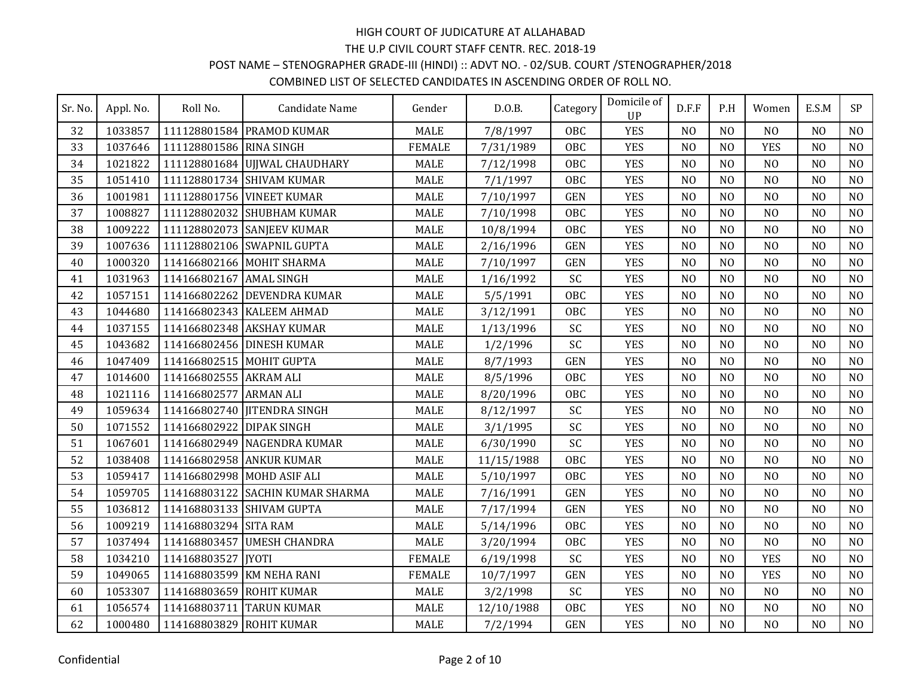# POST NAME – STENOGRAPHER GRADE-III (HINDI) :: ADVT NO. - 02/SUB. COURT /STENOGRAPHER/2018

| Sr. No. | Appl. No. | Roll No.                   | Candidate Name                   | Gender        | D.0.B.     | Category   | Domicile of<br>UP | D.F.F          | P.H            | Women          | E.S.M          | SP             |
|---------|-----------|----------------------------|----------------------------------|---------------|------------|------------|-------------------|----------------|----------------|----------------|----------------|----------------|
| 32      | 1033857   |                            | 111128801584 PRAMOD KUMAR        | <b>MALE</b>   | 7/8/1997   | <b>OBC</b> | <b>YES</b>        | N <sub>O</sub> | N <sub>0</sub> | N <sub>O</sub> | N <sub>0</sub> | N <sub>O</sub> |
| 33      | 1037646   | 111128801586 RINA SINGH    |                                  | <b>FEMALE</b> | 7/31/1989  | <b>OBC</b> | <b>YES</b>        | N <sub>O</sub> | N <sub>O</sub> | <b>YES</b>     | N <sub>0</sub> | N <sub>O</sub> |
| 34      | 1021822   |                            | 111128801684 UJJWAL CHAUDHARY    | <b>MALE</b>   | 7/12/1998  | <b>OBC</b> | <b>YES</b>        | N <sub>O</sub> | N <sub>O</sub> | N <sub>O</sub> | N <sub>O</sub> | N <sub>O</sub> |
| 35      | 1051410   |                            | 111128801734 SHIVAM KUMAR        | <b>MALE</b>   | 7/1/1997   | <b>OBC</b> | <b>YES</b>        | N <sub>0</sub> | N <sub>O</sub> | N <sub>O</sub> | N <sub>O</sub> | N <sub>O</sub> |
| 36      | 1001981   |                            | 111128801756 VINEET KUMAR        | <b>MALE</b>   | 7/10/1997  | <b>GEN</b> | <b>YES</b>        | N <sub>O</sub> | N <sub>0</sub> | N <sub>O</sub> | N <sub>0</sub> | N <sub>O</sub> |
| 37      | 1008827   |                            | 111128802032 SHUBHAM KUMAR       | <b>MALE</b>   | 7/10/1998  | <b>OBC</b> | <b>YES</b>        | N <sub>O</sub> | N <sub>O</sub> | N <sub>O</sub> | N <sub>O</sub> | N <sub>O</sub> |
| 38      | 1009222   |                            | 111128802073 SANJEEV KUMAR       | <b>MALE</b>   | 10/8/1994  | <b>OBC</b> | <b>YES</b>        | N <sub>O</sub> | N <sub>0</sub> | N <sub>O</sub> | N <sub>0</sub> | N <sub>O</sub> |
| 39      | 1007636   |                            | 111128802106 SWAPNIL GUPTA       | <b>MALE</b>   | 2/16/1996  | <b>GEN</b> | <b>YES</b>        | N <sub>O</sub> | N <sub>O</sub> | N <sub>O</sub> | N <sub>O</sub> | N <sub>O</sub> |
| 40      | 1000320   |                            | 114166802166 MOHIT SHARMA        | <b>MALE</b>   | 7/10/1997  | <b>GEN</b> | <b>YES</b>        | N <sub>O</sub> | N <sub>O</sub> | N <sub>O</sub> | N <sub>O</sub> | N <sub>O</sub> |
| 41      | 1031963   | 114166802167 AMAL SINGH    |                                  | <b>MALE</b>   | 1/16/1992  | SC         | <b>YES</b>        | N <sub>0</sub> | N <sub>O</sub> | N <sub>O</sub> | N <sub>O</sub> | N <sub>O</sub> |
| 42      | 1057151   |                            | 114166802262 DEVENDRA KUMAR      | <b>MALE</b>   | 5/5/1991   | <b>OBC</b> | <b>YES</b>        | N <sub>O</sub> | N <sub>O</sub> | N <sub>O</sub> | N <sub>O</sub> | N <sub>O</sub> |
| 43      | 1044680   |                            | 114166802343 KALEEM AHMAD        | <b>MALE</b>   | 3/12/1991  | OBC        | <b>YES</b>        | N <sub>O</sub> | N <sub>O</sub> | N <sub>O</sub> | N <sub>O</sub> | N <sub>O</sub> |
| 44      | 1037155   |                            | 114166802348 AKSHAY KUMAR        | <b>MALE</b>   | 1/13/1996  | SC         | <b>YES</b>        | N <sub>O</sub> | N <sub>O</sub> | N <sub>O</sub> | N <sub>O</sub> | N <sub>O</sub> |
| 45      | 1043682   |                            | 114166802456 DINESH KUMAR        | <b>MALE</b>   | 1/2/1996   | SC         | <b>YES</b>        | N <sub>O</sub> | N <sub>O</sub> | N <sub>O</sub> | N <sub>O</sub> | N <sub>O</sub> |
| 46      | 1047409   | 114166802515 MOHIT GUPTA   |                                  | <b>MALE</b>   | 8/7/1993   | <b>GEN</b> | <b>YES</b>        | N <sub>O</sub> | N <sub>O</sub> | N <sub>O</sub> | N <sub>O</sub> | N <sub>O</sub> |
| 47      | 1014600   | 114166802555 AKRAM ALI     |                                  | <b>MALE</b>   | 8/5/1996   | <b>OBC</b> | <b>YES</b>        | N <sub>O</sub> | N <sub>O</sub> | N <sub>O</sub> | N <sub>O</sub> | N <sub>O</sub> |
| 48      | 1021116   | 114166802577               | <b>ARMAN ALI</b>                 | <b>MALE</b>   | 8/20/1996  | <b>OBC</b> | <b>YES</b>        | N <sub>O</sub> | N <sub>O</sub> | NO             | N <sub>O</sub> | N <sub>O</sub> |
| 49      | 1059634   |                            | 114166802740 JITENDRA SINGH      | <b>MALE</b>   | 8/12/1997  | SC         | <b>YES</b>        | N <sub>O</sub> | N <sub>O</sub> | NO             | N <sub>O</sub> | N <sub>O</sub> |
| 50      | 1071552   | 114166802922               | <b>DIPAK SINGH</b>               | <b>MALE</b>   | 3/1/1995   | SC         | <b>YES</b>        | N <sub>O</sub> | N <sub>O</sub> | N <sub>O</sub> | N <sub>O</sub> | N <sub>O</sub> |
| 51      | 1067601   |                            | 114166802949 NAGENDRA KUMAR      | <b>MALE</b>   | 6/30/1990  | SC         | <b>YES</b>        | N <sub>O</sub> | N <sub>O</sub> | N <sub>O</sub> | N <sub>O</sub> | NO             |
| 52      | 1038408   | 114166802958 ANKUR KUMAR   |                                  | <b>MALE</b>   | 11/15/1988 | OBC        | <b>YES</b>        | N <sub>O</sub> | N <sub>0</sub> | N <sub>O</sub> | N <sub>O</sub> | N <sub>O</sub> |
| 53      | 1059417   | 114166802998 MOHD ASIF ALI |                                  | <b>MALE</b>   | 5/10/1997  | <b>OBC</b> | <b>YES</b>        | N <sub>O</sub> | N <sub>0</sub> | N <sub>O</sub> | N <sub>0</sub> | N <sub>O</sub> |
| 54      | 1059705   |                            | 114168803122 SACHIN KUMAR SHARMA | <b>MALE</b>   | 7/16/1991  | <b>GEN</b> | <b>YES</b>        | N <sub>O</sub> | N <sub>O</sub> | N <sub>O</sub> | N <sub>O</sub> | N <sub>O</sub> |
| 55      | 1036812   |                            | 114168803133 SHIVAM GUPTA        | <b>MALE</b>   | 7/17/1994  | <b>GEN</b> | <b>YES</b>        | N <sub>0</sub> | N <sub>0</sub> | N <sub>O</sub> | N <sub>0</sub> | N <sub>O</sub> |
| 56      | 1009219   | 114168803294 SITA RAM      |                                  | <b>MALE</b>   | 5/14/1996  | <b>OBC</b> | <b>YES</b>        | N <sub>O</sub> | N <sub>O</sub> | N <sub>O</sub> | N <sub>O</sub> | N <sub>O</sub> |
| 57      | 1037494   |                            | 114168803457 UMESH CHANDRA       | <b>MALE</b>   | 3/20/1994  | <b>OBC</b> | <b>YES</b>        | N <sub>O</sub> | N <sub>O</sub> | N <sub>O</sub> | N <sub>O</sub> | N <sub>O</sub> |
| 58      | 1034210   | 114168803527               | <b>IYOTI</b>                     | <b>FEMALE</b> | 6/19/1998  | SC         | <b>YES</b>        | N <sub>O</sub> | N <sub>O</sub> | <b>YES</b>     | N <sub>O</sub> | N <sub>O</sub> |
| 59      | 1049065   | 114168803599 KM NEHA RANI  |                                  | <b>FEMALE</b> | 10/7/1997  | <b>GEN</b> | <b>YES</b>        | N <sub>O</sub> | N <sub>O</sub> | <b>YES</b>     | N <sub>O</sub> | N <sub>O</sub> |
| 60      | 1053307   | 114168803659 ROHIT KUMAR   |                                  | <b>MALE</b>   | 3/2/1998   | SC         | <b>YES</b>        | N <sub>O</sub> | N <sub>0</sub> | N <sub>O</sub> | N <sub>0</sub> | N <sub>O</sub> |
| 61      | 1056574   | 114168803711               | <b>TARUN KUMAR</b>               | <b>MALE</b>   | 12/10/1988 | <b>OBC</b> | <b>YES</b>        | N <sub>O</sub> | N <sub>O</sub> | N <sub>O</sub> | N <sub>O</sub> | N <sub>O</sub> |
| 62      | 1000480   | 114168803829 ROHIT KUMAR   |                                  | <b>MALE</b>   | 7/2/1994   | <b>GEN</b> | <b>YES</b>        | N <sub>O</sub> | N <sub>O</sub> | N <sub>O</sub> | N <sub>O</sub> | N <sub>O</sub> |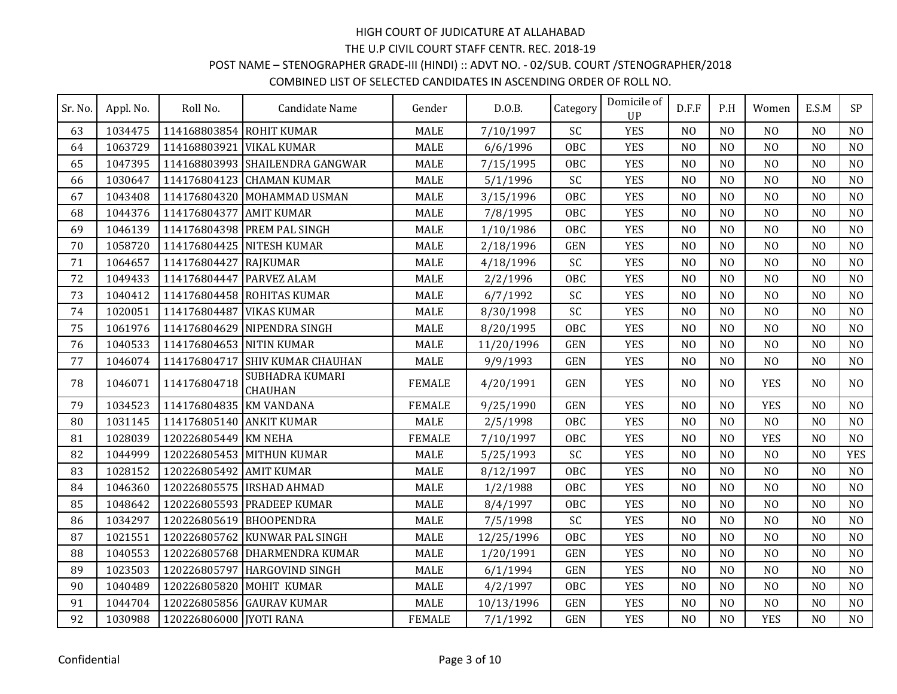# POST NAME – STENOGRAPHER GRADE-III (HINDI) :: ADVT NO. - 02/SUB. COURT /STENOGRAPHER/2018

| Sr. No. | Appl. No. | Roll No.                 | Candidate Name                    | Gender        | D.0.B.     | Category   | Domicile of<br>UP | D.F.F          | P.H            | Women          | E.S.M          | <b>SP</b>      |
|---------|-----------|--------------------------|-----------------------------------|---------------|------------|------------|-------------------|----------------|----------------|----------------|----------------|----------------|
| 63      | 1034475   | 114168803854 ROHIT KUMAR |                                   | <b>MALE</b>   | 7/10/1997  | SC         | <b>YES</b>        | N <sub>O</sub> | N <sub>O</sub> | N <sub>O</sub> | N <sub>O</sub> | N <sub>O</sub> |
| 64      | 1063729   | 114168803921             | <b>VIKAL KUMAR</b>                | <b>MALE</b>   | 6/6/1996   | <b>OBC</b> | <b>YES</b>        | N <sub>O</sub> | N <sub>O</sub> | N <sub>O</sub> | N <sub>O</sub> | N <sub>O</sub> |
| 65      | 1047395   |                          | 114168803993 SHAILENDRA GANGWAR   | <b>MALE</b>   | 7/15/1995  | <b>OBC</b> | <b>YES</b>        | N <sub>0</sub> | N <sub>0</sub> | N <sub>O</sub> | N <sub>O</sub> | N <sub>O</sub> |
| 66      | 1030647   |                          | 114176804123 CHAMAN KUMAR         | MALE          | 5/1/1996   | SC         | <b>YES</b>        | N <sub>0</sub> | N <sub>O</sub> | N <sub>O</sub> | N <sub>O</sub> | N <sub>O</sub> |
| 67      | 1043408   |                          | 114176804320 MOHAMMAD USMAN       | <b>MALE</b>   | 3/15/1996  | <b>OBC</b> | <b>YES</b>        | N <sub>O</sub> | N <sub>O</sub> | N <sub>O</sub> | N <sub>O</sub> | N <sub>O</sub> |
| 68      | 1044376   | 114176804377             | <b>AMIT KUMAR</b>                 | <b>MALE</b>   | 7/8/1995   | <b>OBC</b> | <b>YES</b>        | N <sub>O</sub> | N <sub>O</sub> | N <sub>O</sub> | N <sub>O</sub> | N <sub>O</sub> |
| 69      | 1046139   |                          | 114176804398 PREM PAL SINGH       | <b>MALE</b>   | 1/10/1986  | <b>OBC</b> | <b>YES</b>        | N <sub>O</sub> | N <sub>O</sub> | N <sub>O</sub> | N <sub>O</sub> | N <sub>O</sub> |
| 70      | 1058720   |                          | 114176804425 NITESH KUMAR         | <b>MALE</b>   | 2/18/1996  | <b>GEN</b> | <b>YES</b>        | N <sub>0</sub> | N <sub>0</sub> | N <sub>O</sub> | N <sub>0</sub> | N <sub>O</sub> |
| 71      | 1064657   | 114176804427             | RAJKUMAR                          | <b>MALE</b>   | 4/18/1996  | SC         | <b>YES</b>        | N <sub>O</sub> | N <sub>O</sub> | N <sub>O</sub> | N <sub>O</sub> | NO             |
| 72      | 1049433   | 114176804447             | <b>PARVEZ ALAM</b>                | <b>MALE</b>   | 2/2/1996   | <b>OBC</b> | <b>YES</b>        | N <sub>0</sub> | N <sub>O</sub> | N <sub>O</sub> | N <sub>O</sub> | N <sub>O</sub> |
| 73      | 1040412   |                          | 114176804458 ROHITAS KUMAR        | <b>MALE</b>   | 6/7/1992   | SC         | <b>YES</b>        | N <sub>O</sub> | N <sub>O</sub> | N <sub>O</sub> | N <sub>O</sub> | N <sub>O</sub> |
| 74      | 1020051   | 114176804487             | <b>VIKAS KUMAR</b>                | <b>MALE</b>   | 8/30/1998  | SC         | <b>YES</b>        | N <sub>O</sub> | N <sub>O</sub> | N <sub>O</sub> | N <sub>O</sub> | N <sub>O</sub> |
| 75      | 1061976   |                          | 114176804629 NIPENDRA SINGH       | <b>MALE</b>   | 8/20/1995  | <b>OBC</b> | <b>YES</b>        | N <sub>0</sub> | N <sub>O</sub> | N <sub>O</sub> | N <sub>O</sub> | N <sub>O</sub> |
| 76      | 1040533   | 114176804653 NITIN KUMAR |                                   | <b>MALE</b>   | 11/20/1996 | <b>GEN</b> | <b>YES</b>        | N <sub>O</sub> | N <sub>O</sub> | N <sub>O</sub> | N <sub>O</sub> | N <sub>O</sub> |
| 77      | 1046074   | 114176804717             | <b>SHIV KUMAR CHAUHAN</b>         | <b>MALE</b>   | 9/9/1993   | <b>GEN</b> | <b>YES</b>        | N <sub>0</sub> | N <sub>0</sub> | N <sub>O</sub> | N <sub>O</sub> | N <sub>O</sub> |
| 78      | 1046071   | 114176804718             | SUBHADRA KUMARI<br><b>CHAUHAN</b> | <b>FEMALE</b> | 4/20/1991  | <b>GEN</b> | <b>YES</b>        | N <sub>0</sub> | N <sub>0</sub> | <b>YES</b>     | N <sub>0</sub> | N <sub>O</sub> |
| 79      | 1034523   | 114176804835 KM VANDANA  |                                   | <b>FEMALE</b> | 9/25/1990  | <b>GEN</b> | <b>YES</b>        | N <sub>O</sub> | N <sub>O</sub> | <b>YES</b>     | N <sub>O</sub> | N <sub>O</sub> |
| 80      | 1031145   | 114176805140 ANKIT KUMAR |                                   | <b>MALE</b>   | 2/5/1998   | <b>OBC</b> | <b>YES</b>        | N <sub>0</sub> | N <sub>O</sub> | N <sub>O</sub> | N <sub>O</sub> | N <sub>O</sub> |
| 81      | 1028039   | 120226805449             | <b>KM NEHA</b>                    | <b>FEMALE</b> | 7/10/1997  | OBC        | <b>YES</b>        | N <sub>O</sub> | N <sub>O</sub> | <b>YES</b>     | N <sub>O</sub> | N <sub>O</sub> |
| 82      | 1044999   |                          | 120226805453 MITHUN KUMAR         | <b>MALE</b>   | 5/25/1993  | SC         | <b>YES</b>        | N <sub>O</sub> | N <sub>O</sub> | N <sub>O</sub> | N <sub>O</sub> | <b>YES</b>     |
| 83      | 1028152   | 120226805492 AMIT KUMAR  |                                   | <b>MALE</b>   | 8/12/1997  | <b>OBC</b> | <b>YES</b>        | N <sub>O</sub> | N <sub>O</sub> | N <sub>O</sub> | N <sub>0</sub> | N <sub>O</sub> |
| 84      | 1046360   |                          | 120226805575  IRSHAD AHMAD        | <b>MALE</b>   | 1/2/1988   | <b>OBC</b> | <b>YES</b>        | N <sub>O</sub> | NO             | N <sub>O</sub> | N <sub>O</sub> | NO             |
| 85      | 1048642   |                          | 120226805593 PRADEEP KUMAR        | <b>MALE</b>   | 8/4/1997   | <b>OBC</b> | <b>YES</b>        | N <sub>O</sub> | NO             | N <sub>O</sub> | N <sub>O</sub> | N <sub>O</sub> |
| 86      | 1034297   | 120226805619 BHOOPENDRA  |                                   | <b>MALE</b>   | 7/5/1998   | SC         | <b>YES</b>        | N <sub>O</sub> | N <sub>O</sub> | N <sub>O</sub> | N <sub>O</sub> | N <sub>O</sub> |
| 87      | 1021551   |                          | 120226805762 KUNWAR PAL SINGH     | <b>MALE</b>   | 12/25/1996 | <b>OBC</b> | <b>YES</b>        | N <sub>O</sub> | N <sub>O</sub> | N <sub>O</sub> | N <sub>O</sub> | NO             |
| 88      | 1040553   |                          | 120226805768 DHARMENDRA KUMAR     | <b>MALE</b>   | 1/20/1991  | <b>GEN</b> | <b>YES</b>        | N <sub>O</sub> | N <sub>O</sub> | N <sub>O</sub> | N <sub>O</sub> | N <sub>O</sub> |
| 89      | 1023503   | 120226805797             | <b>HARGOVIND SINGH</b>            | <b>MALE</b>   | 6/1/1994   | <b>GEN</b> | <b>YES</b>        | N <sub>O</sub> | N <sub>O</sub> | N <sub>O</sub> | N <sub>O</sub> | N <sub>O</sub> |
| 90      | 1040489   | 120226805820             | MOHIT KUMAR                       | <b>MALE</b>   | 4/2/1997   | <b>OBC</b> | <b>YES</b>        | N <sub>O</sub> | N <sub>O</sub> | N <sub>O</sub> | N <sub>O</sub> | N <sub>O</sub> |
| 91      | 1044704   |                          | 120226805856 GAURAV KUMAR         | <b>MALE</b>   | 10/13/1996 | <b>GEN</b> | <b>YES</b>        | N <sub>O</sub> | N <sub>O</sub> | N <sub>O</sub> | N <sub>O</sub> | N <sub>O</sub> |
| 92      | 1030988   | 120226806000 [YOTI RANA  |                                   | <b>FEMALE</b> | 7/1/1992   | <b>GEN</b> | <b>YES</b>        | N <sub>O</sub> | N <sub>O</sub> | <b>YES</b>     | N <sub>O</sub> | N <sub>O</sub> |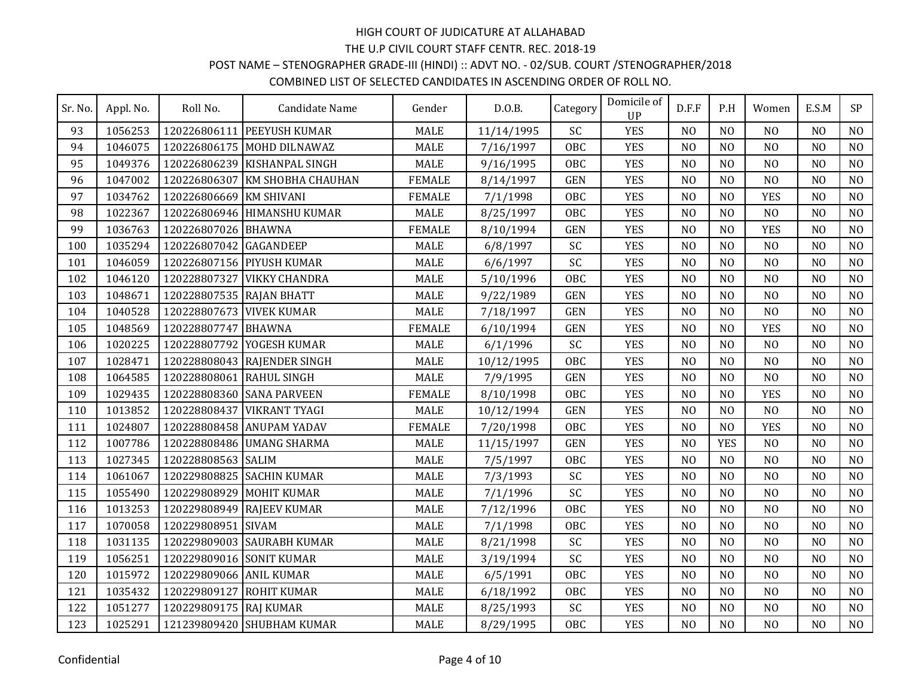## POST NAME – STENOGRAPHER GRADE-III (HINDI) :: ADVT NO. - 02/SUB. COURT /STENOGRAPHER/2018

| Sr. No. | Appl. No. | Roll No.                 | Candidate Name                 | Gender        | D.0.B.     | Category   | Domicile of<br><b>UP</b> | D.F.F          | P.H            | Women          | E.S.M          | SP             |
|---------|-----------|--------------------------|--------------------------------|---------------|------------|------------|--------------------------|----------------|----------------|----------------|----------------|----------------|
| 93      | 1056253   | 120226806111             | <b>PEEYUSH KUMAR</b>           | <b>MALE</b>   | 11/14/1995 | SC         | <b>YES</b>               | N <sub>O</sub> | N <sub>0</sub> | N <sub>O</sub> | N <sub>0</sub> | N <sub>O</sub> |
| 94      | 1046075   |                          | 120226806175 MOHD DILNAWAZ     | <b>MALE</b>   | 7/16/1997  | <b>OBC</b> | <b>YES</b>               | N <sub>O</sub> | N <sub>O</sub> | N <sub>O</sub> | N <sub>O</sub> | N <sub>O</sub> |
| 95      | 1049376   |                          | 120226806239 KISHANPAL SINGH   | <b>MALE</b>   | 9/16/1995  | <b>OBC</b> | <b>YES</b>               | N <sub>O</sub> | N <sub>O</sub> | N <sub>O</sub> | N <sub>O</sub> | N <sub>O</sub> |
| 96      | 1047002   |                          | 120226806307 KM SHOBHA CHAUHAN | <b>FEMALE</b> | 8/14/1997  | <b>GEN</b> | <b>YES</b>               | N <sub>0</sub> | N <sub>O</sub> | N <sub>O</sub> | N <sub>O</sub> | N <sub>O</sub> |
| 97      | 1034762   | 120226806669             | <b>KM SHIVANI</b>              | <b>FEMALE</b> | 7/1/1998   | OBC        | <b>YES</b>               | N <sub>O</sub> | N <sub>O</sub> | <b>YES</b>     | N <sub>O</sub> | N <sub>O</sub> |
| 98      | 1022367   |                          | 120226806946 HIMANSHU KUMAR    | <b>MALE</b>   | 8/25/1997  | <b>OBC</b> | <b>YES</b>               | N <sub>O</sub> | N <sub>O</sub> | N <sub>O</sub> | N <sub>O</sub> | N <sub>O</sub> |
| 99      | 1036763   | 120226807026 BHAWNA      |                                | <b>FEMALE</b> | 8/10/1994  | <b>GEN</b> | <b>YES</b>               | N <sub>O</sub> | N <sub>O</sub> | <b>YES</b>     | N <sub>O</sub> | N <sub>O</sub> |
| 100     | 1035294   | 120226807042 GAGANDEEP   |                                | <b>MALE</b>   | 6/8/1997   | SC         | <b>YES</b>               | N <sub>O</sub> | N <sub>O</sub> | N <sub>O</sub> | N <sub>O</sub> | N <sub>O</sub> |
| 101     | 1046059   |                          | 120226807156 PIYUSH KUMAR      | <b>MALE</b>   | 6/6/1997   | SC         | <b>YES</b>               | N <sub>O</sub> | N <sub>0</sub> | N <sub>O</sub> | N <sub>0</sub> | N <sub>O</sub> |
| 102     | 1046120   | 120228807327             | <b>VIKKY CHANDRA</b>           | <b>MALE</b>   | 5/10/1996  | <b>OBC</b> | <b>YES</b>               | N <sub>0</sub> | N <sub>O</sub> | N <sub>O</sub> | N <sub>O</sub> | N <sub>O</sub> |
| 103     | 1048671   | 120228807535 RAJAN BHATT |                                | <b>MALE</b>   | 9/22/1989  | <b>GEN</b> | <b>YES</b>               | N <sub>0</sub> | N <sub>O</sub> | N <sub>O</sub> | N <sub>O</sub> | N <sub>O</sub> |
| 104     | 1040528   | 120228807673 VIVEK KUMAR |                                | <b>MALE</b>   | 7/18/1997  | <b>GEN</b> | <b>YES</b>               | N <sub>0</sub> | N <sub>0</sub> | N <sub>O</sub> | N <sub>0</sub> | N <sub>O</sub> |
| 105     | 1048569   | 120228807747 BHAWNA      |                                | <b>FEMALE</b> | 6/10/1994  | <b>GEN</b> | <b>YES</b>               | N <sub>O</sub> | N <sub>O</sub> | <b>YES</b>     | N <sub>O</sub> | N <sub>O</sub> |
| 106     | 1020225   |                          | 120228807792 YOGESH KUMAR      | <b>MALE</b>   | 6/1/1996   | SC         | <b>YES</b>               | N <sub>O</sub> | N <sub>O</sub> | N <sub>O</sub> | N <sub>O</sub> | N <sub>O</sub> |
| 107     | 1028471   |                          | 120228808043 RAJENDER SINGH    | <b>MALE</b>   | 10/12/1995 | <b>OBC</b> | <b>YES</b>               | N <sub>O</sub> | N <sub>O</sub> | N <sub>O</sub> | N <sub>O</sub> | N <sub>O</sub> |
| 108     | 1064585   | 120228808061 RAHUL SINGH |                                | <b>MALE</b>   | 7/9/1995   | <b>GEN</b> | <b>YES</b>               | N <sub>O</sub> | N <sub>O</sub> | N <sub>O</sub> | N <sub>O</sub> | N <sub>O</sub> |
| 109     | 1029435   |                          | 120228808360 SANA PARVEEN      | <b>FEMALE</b> | 8/10/1998  | <b>OBC</b> | <b>YES</b>               | N <sub>O</sub> | NO             | <b>YES</b>     | N <sub>O</sub> | N <sub>O</sub> |
| 110     | 1013852   | 120228808437             | VIKRANT TYAGI                  | <b>MALE</b>   | 10/12/1994 | <b>GEN</b> | <b>YES</b>               | N <sub>O</sub> | N <sub>O</sub> | N <sub>O</sub> | N <sub>O</sub> | N <sub>O</sub> |
| 111     | 1024807   |                          | 120228808458 ANUPAM YADAV      | <b>FEMALE</b> | 7/20/1998  | <b>OBC</b> | <b>YES</b>               | N <sub>O</sub> | N <sub>0</sub> | <b>YES</b>     | N <sub>O</sub> | N <sub>O</sub> |
| 112     | 1007786   |                          | 120228808486 UMANG SHARMA      | <b>MALE</b>   | 11/15/1997 | <b>GEN</b> | <b>YES</b>               | N <sub>O</sub> | <b>YES</b>     | N <sub>O</sub> | N <sub>O</sub> | N <sub>O</sub> |
| 113     | 1027345   | 120228808563 SALIM       |                                | <b>MALE</b>   | 7/5/1997   | <b>OBC</b> | <b>YES</b>               | N <sub>O</sub> | N <sub>O</sub> | N <sub>O</sub> | N <sub>O</sub> | N <sub>O</sub> |
| 114     | 1061067   |                          | 120229808825 SACHIN KUMAR      | <b>MALE</b>   | 7/3/1993   | SC         | <b>YES</b>               | N <sub>O</sub> | N <sub>O</sub> | N <sub>O</sub> | N <sub>O</sub> | NO             |
| 115     | 1055490   |                          | 120229808929 MOHIT KUMAR       | <b>MALE</b>   | 7/1/1996   | SC         | <b>YES</b>               | N <sub>O</sub> | N <sub>O</sub> | N <sub>O</sub> | N <sub>O</sub> | N <sub>O</sub> |
| 116     | 1013253   |                          | 120229808949 RAJEEV KUMAR      | <b>MALE</b>   | 7/12/1996  | <b>OBC</b> | <b>YES</b>               | N <sub>O</sub> | N <sub>O</sub> | N <sub>O</sub> | N <sub>O</sub> | N <sub>O</sub> |
| 117     | 1070058   | 120229808951             | <b>SIVAM</b>                   | <b>MALE</b>   | 7/1/1998   | <b>OBC</b> | <b>YES</b>               | N <sub>O</sub> | N <sub>O</sub> | N <sub>O</sub> | N <sub>O</sub> | N <sub>O</sub> |
| 118     | 1031135   |                          | 120229809003 SAURABH KUMAR     | <b>MALE</b>   | 8/21/1998  | SC         | <b>YES</b>               | N <sub>O</sub> | N <sub>O</sub> | N <sub>O</sub> | N <sub>O</sub> | N <sub>O</sub> |
| 119     | 1056251   | 120229809016 SONIT KUMAR |                                | <b>MALE</b>   | 3/19/1994  | SC         | <b>YES</b>               | N <sub>O</sub> | N <sub>O</sub> | N <sub>O</sub> | N <sub>O</sub> | NO             |
| 120     | 1015972   | 120229809066 ANIL KUMAR  |                                | <b>MALE</b>   | 6/5/1991   | <b>OBC</b> | <b>YES</b>               | N <sub>0</sub> | N <sub>O</sub> | N <sub>O</sub> | N <sub>0</sub> | NO             |
| 121     | 1035432   | 120229809127             | <b>ROHIT KUMAR</b>             | <b>MALE</b>   | 6/18/1992  | <b>OBC</b> | <b>YES</b>               | N <sub>O</sub> | N <sub>O</sub> | N <sub>O</sub> | N <sub>O</sub> | NO             |
| 122     | 1051277   | 120229809175 RAJ KUMAR   |                                | <b>MALE</b>   | 8/25/1993  | SC         | <b>YES</b>               | N <sub>O</sub> | N <sub>0</sub> | N <sub>O</sub> | N <sub>O</sub> | NO             |
| 123     | 1025291   |                          | 121239809420 SHUBHAM KUMAR     | <b>MALE</b>   | 8/29/1995  | <b>OBC</b> | <b>YES</b>               | N <sub>O</sub> | N <sub>O</sub> | N <sub>O</sub> | N <sub>O</sub> | N <sub>O</sub> |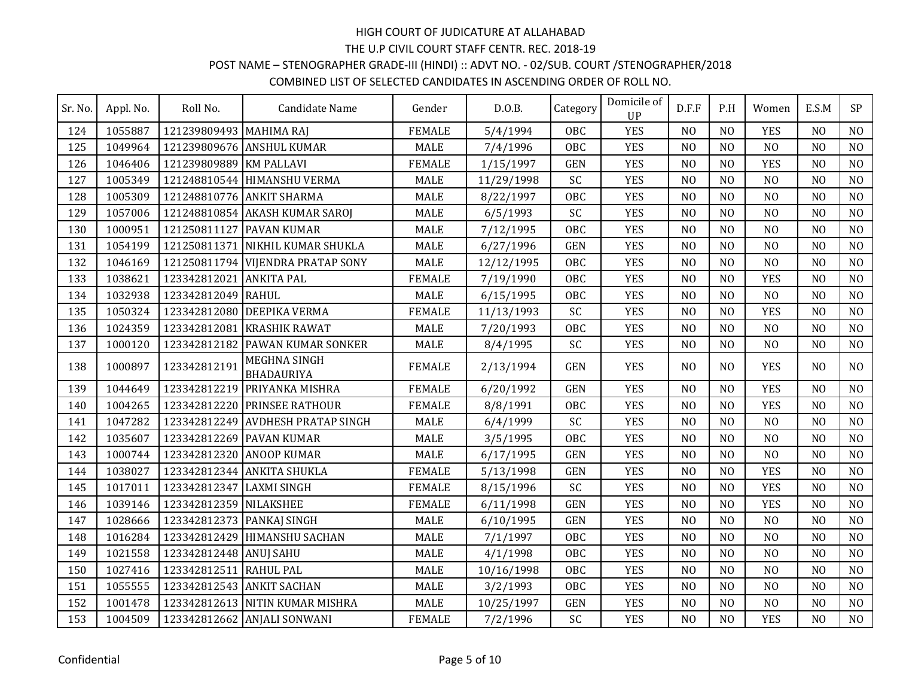#### POST NAME – STENOGRAPHER GRADE-III (HINDI) :: ADVT NO. - 02/SUB. COURT /STENOGRAPHER/2018 COMBINED LIST OF SELECTED CANDIDATES IN ASCENDING ORDER OF ROLL NO.

| Sr. No. | Appl. No. | Roll No.                  | Candidate Name                    | Gender        | D.0.B.     | Category   | Domicile of<br><b>UP</b> | D.F.F          | P.H            | Women          | E.S.M          | <b>SP</b>      |
|---------|-----------|---------------------------|-----------------------------------|---------------|------------|------------|--------------------------|----------------|----------------|----------------|----------------|----------------|
| 124     | 1055887   | 121239809493 MAHIMA RAJ   |                                   | <b>FEMALE</b> | 5/4/1994   | <b>OBC</b> | <b>YES</b>               | N <sub>O</sub> | N <sub>O</sub> | <b>YES</b>     | N <sub>O</sub> | N <sub>O</sub> |
| 125     | 1049964   |                           | 121239809676 ANSHUL KUMAR         | <b>MALE</b>   | 7/4/1996   | <b>OBC</b> | <b>YES</b>               | N <sub>O</sub> | N <sub>O</sub> | N <sub>O</sub> | N <sub>O</sub> | N <sub>O</sub> |
| 126     | 1046406   | 121239809889              | <b>KM PALLAVI</b>                 | <b>FEMALE</b> | 1/15/1997  | <b>GEN</b> | <b>YES</b>               | N <sub>O</sub> | N <sub>O</sub> | <b>YES</b>     | N <sub>O</sub> | N <sub>O</sub> |
| 127     | 1005349   |                           | 121248810544 HIMANSHU VERMA       | <b>MALE</b>   | 11/29/1998 | SC         | <b>YES</b>               | N <sub>O</sub> | N <sub>O</sub> | N <sub>O</sub> | N <sub>O</sub> | N <sub>O</sub> |
| 128     | 1005309   |                           | 121248810776 ANKIT SHARMA         | <b>MALE</b>   | 8/22/1997  | <b>OBC</b> | <b>YES</b>               | N <sub>O</sub> | N <sub>O</sub> | N <sub>O</sub> | N <sub>O</sub> | N <sub>O</sub> |
| 129     | 1057006   |                           | 121248810854 AKASH KUMAR SAROJ    | <b>MALE</b>   | 6/5/1993   | SC         | <b>YES</b>               | N <sub>O</sub> | N <sub>O</sub> | N <sub>O</sub> | N <sub>O</sub> | N <sub>O</sub> |
| 130     | 1000951   | 121250811127              | <b>PAVAN KUMAR</b>                | <b>MALE</b>   | 7/12/1995  | OBC        | <b>YES</b>               | N <sub>O</sub> | N <sub>O</sub> | N <sub>O</sub> | N <sub>O</sub> | N <sub>O</sub> |
| 131     | 1054199   |                           | 121250811371 NIKHIL KUMAR SHUKLA  | <b>MALE</b>   | 6/27/1996  | <b>GEN</b> | <b>YES</b>               | N <sub>O</sub> | N <sub>O</sub> | N <sub>O</sub> | N <sub>O</sub> | N <sub>O</sub> |
| 132     | 1046169   |                           | 121250811794 VIJENDRA PRATAP SONY | MALE          | 12/12/1995 | OBC        | <b>YES</b>               | N <sub>O</sub> | N <sub>O</sub> | N <sub>O</sub> | N <sub>O</sub> | N <sub>O</sub> |
| 133     | 1038621   | 123342812021              | <b>ANKITA PAL</b>                 | <b>FEMALE</b> | 7/19/1990  | OBC        | <b>YES</b>               | N <sub>O</sub> | N <sub>O</sub> | <b>YES</b>     | N <sub>O</sub> | NO             |
| 134     | 1032938   | 123342812049              | RAHUL                             | <b>MALE</b>   | 6/15/1995  | <b>OBC</b> | <b>YES</b>               | N <sub>O</sub> | N <sub>O</sub> | N <sub>O</sub> | N <sub>O</sub> | NO             |
| 135     | 1050324   |                           | 123342812080 DEEPIKA VERMA        | <b>FEMALE</b> | 11/13/1993 | SC         | <b>YES</b>               | N <sub>O</sub> | N <sub>0</sub> | <b>YES</b>     | N <sub>O</sub> | N <sub>O</sub> |
| 136     | 1024359   | 123342812081              | <b>KRASHIK RAWAT</b>              | MALE          | 7/20/1993  | <b>OBC</b> | <b>YES</b>               | N <sub>O</sub> | N <sub>O</sub> | N <sub>O</sub> | N <sub>O</sub> | N <sub>O</sub> |
| 137     | 1000120   |                           | 123342812182 PAWAN KUMAR SONKER   | <b>MALE</b>   | 8/4/1995   | SC         | <b>YES</b>               | N <sub>O</sub> | N <sub>0</sub> | N <sub>0</sub> | N <sub>O</sub> | N <sub>O</sub> |
| 138     | 1000897   | 123342812191              | MEGHNA SINGH<br><b>BHADAURIYA</b> | <b>FEMALE</b> | 2/13/1994  | <b>GEN</b> | <b>YES</b>               | N <sub>O</sub> | N <sub>0</sub> | <b>YES</b>     | N <sub>O</sub> | N <sub>O</sub> |
| 139     | 1044649   | 123342812219              | PRIYANKA MISHRA                   | <b>FEMALE</b> | 6/20/1992  | <b>GEN</b> | <b>YES</b>               | N <sub>O</sub> | N <sub>O</sub> | <b>YES</b>     | N <sub>O</sub> | N <sub>O</sub> |
| 140     | 1004265   |                           | 123342812220 PRINSEE RATHOUR      | <b>FEMALE</b> | 8/8/1991   | <b>OBC</b> | <b>YES</b>               | N <sub>O</sub> | N <sub>O</sub> | <b>YES</b>     | N <sub>O</sub> | N <sub>O</sub> |
| 141     | 1047282   | 123342812249              | <b>AVDHESH PRATAP SINGH</b>       | <b>MALE</b>   | 6/4/1999   | SC         | <b>YES</b>               | N <sub>O</sub> | N <sub>O</sub> | N <sub>O</sub> | N <sub>O</sub> | N <sub>O</sub> |
| 142     | 1035607   | 123342812269 PAVAN KUMAR  |                                   | <b>MALE</b>   | 3/5/1995   | <b>OBC</b> | <b>YES</b>               | N <sub>O</sub> | N <sub>O</sub> | N <sub>O</sub> | N <sub>O</sub> | N <sub>O</sub> |
| 143     | 1000744   | 123342812320 ANOOP KUMAR  |                                   | <b>MALE</b>   | 6/17/1995  | <b>GEN</b> | <b>YES</b>               | N <sub>O</sub> | N <sub>O</sub> | N <sub>O</sub> | N <sub>O</sub> | N <sub>O</sub> |
| 144     | 1038027   |                           | 123342812344 ANKITA SHUKLA        | <b>FEMALE</b> | 5/13/1998  | <b>GEN</b> | <b>YES</b>               | N <sub>O</sub> | N <sub>O</sub> | <b>YES</b>     | N <sub>O</sub> | N <sub>O</sub> |
| 145     | 1017011   | 123342812347 LAXMI SINGH  |                                   | <b>FEMALE</b> | 8/15/1996  | SC         | <b>YES</b>               | N <sub>O</sub> | N <sub>O</sub> | <b>YES</b>     | N <sub>O</sub> | N <sub>O</sub> |
| 146     | 1039146   | 123342812359 NILAKSHEE    |                                   | <b>FEMALE</b> | 6/11/1998  | <b>GEN</b> | <b>YES</b>               | N <sub>O</sub> | N <sub>O</sub> | <b>YES</b>     | N <sub>O</sub> | NO             |
| 147     | 1028666   | 123342812373 PANKAJ SINGH |                                   | <b>MALE</b>   | 6/10/1995  | <b>GEN</b> | <b>YES</b>               | N <sub>O</sub> | N <sub>O</sub> | N <sub>O</sub> | N <sub>O</sub> | NO             |
| 148     | 1016284   | 123342812429              | <b>HIMANSHU SACHAN</b>            | <b>MALE</b>   | 7/1/1997   | <b>OBC</b> | <b>YES</b>               | N <sub>O</sub> | N <sub>O</sub> | N <sub>O</sub> | N <sub>O</sub> | NO             |
| 149     | 1021558   | 123342812448 ANUJ SAHU    |                                   | <b>MALE</b>   | 4/1/1998   | <b>OBC</b> | <b>YES</b>               | N <sub>O</sub> | N <sub>O</sub> | N <sub>O</sub> | N <sub>O</sub> | N <sub>O</sub> |
| 150     | 1027416   | 123342812511 RAHUL PAL    |                                   | <b>MALE</b>   | 10/16/1998 | <b>OBC</b> | <b>YES</b>               | N <sub>O</sub> | N <sub>O</sub> | N <sub>O</sub> | N <sub>O</sub> | N <sub>O</sub> |
| 151     | 1055555   | 123342812543 ANKIT SACHAN |                                   | <b>MALE</b>   | 3/2/1993   | <b>OBC</b> | <b>YES</b>               | N <sub>O</sub> | N <sub>O</sub> | N <sub>O</sub> | N <sub>O</sub> | N <sub>O</sub> |
| 152     | 1001478   |                           | 123342812613 NITIN KUMAR MISHRA   | <b>MALE</b>   | 10/25/1997 | <b>GEN</b> | <b>YES</b>               | N <sub>0</sub> | N <sub>0</sub> | N <sub>O</sub> | N <sub>0</sub> | N <sub>O</sub> |
| 153     | 1004509   |                           | 123342812662 ANJALI SONWANI       | <b>FEMALE</b> | 7/2/1996   | SC         | <b>YES</b>               | N <sub>O</sub> | N <sub>O</sub> | <b>YES</b>     | N <sub>O</sub> | N <sub>O</sub> |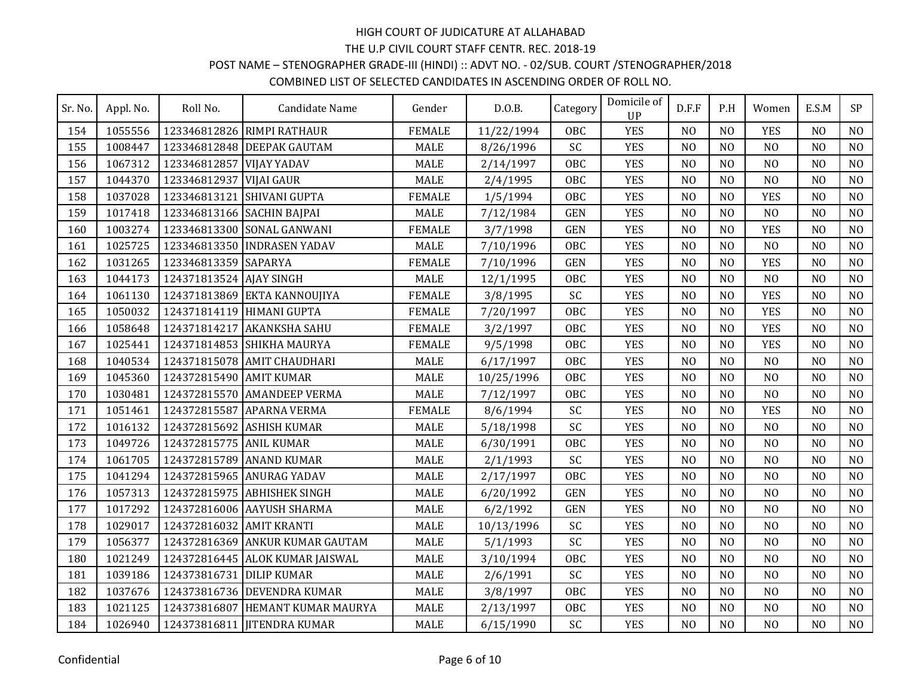#### POST NAME – STENOGRAPHER GRADE-III (HINDI) :: ADVT NO. - 02/SUB. COURT /STENOGRAPHER/2018 COMBINED LIST OF SELECTED CANDIDATES IN ASCENDING ORDER OF ROLL NO.

| Sr. No. | Appl. No. | Roll No.                   | Candidate Name                  | Gender        | D.O.B.     | Category   | Domicile of<br><b>UP</b> | D.F.F          | P.H            | Women          | E.S.M          | SP             |
|---------|-----------|----------------------------|---------------------------------|---------------|------------|------------|--------------------------|----------------|----------------|----------------|----------------|----------------|
| 154     | 1055556   |                            | 123346812826 RIMPI RATHAUR      | <b>FEMALE</b> | 11/22/1994 | <b>OBC</b> | <b>YES</b>               | N <sub>O</sub> | N <sub>0</sub> | <b>YES</b>     | N <sub>O</sub> | N <sub>O</sub> |
| 155     | 1008447   |                            | 123346812848 DEEPAK GAUTAM      | <b>MALE</b>   | 8/26/1996  | SC         | <b>YES</b>               | N <sub>O</sub> | N <sub>O</sub> | N <sub>O</sub> | N <sub>O</sub> | N <sub>O</sub> |
| 156     | 1067312   | 123346812857 VIJAY YADAV   |                                 | <b>MALE</b>   | 2/14/1997  | <b>OBC</b> | <b>YES</b>               | N <sub>O</sub> | N <sub>O</sub> | N <sub>O</sub> | N <sub>O</sub> | N <sub>O</sub> |
| 157     | 1044370   | 123346812937 VIJAI GAUR    |                                 | <b>MALE</b>   | 2/4/1995   | <b>OBC</b> | <b>YES</b>               | N <sub>O</sub> | N <sub>O</sub> | N <sub>O</sub> | N <sub>O</sub> | N <sub>O</sub> |
| 158     | 1037028   |                            | 123346813121 SHIVANI GUPTA      | <b>FEMALE</b> | 1/5/1994   | <b>OBC</b> | <b>YES</b>               | N <sub>O</sub> | N <sub>O</sub> | <b>YES</b>     | N <sub>O</sub> | N <sub>O</sub> |
| 159     | 1017418   | 123346813166 SACHIN BAJPAI |                                 | <b>MALE</b>   | 7/12/1984  | <b>GEN</b> | <b>YES</b>               | N <sub>O</sub> | N <sub>O</sub> | N <sub>O</sub> | N <sub>O</sub> | N <sub>O</sub> |
| 160     | 1003274   |                            | 123346813300 SONAL GANWANI      | <b>FEMALE</b> | 3/7/1998   | <b>GEN</b> | <b>YES</b>               | N <sub>O</sub> | N <sub>O</sub> | <b>YES</b>     | N <sub>O</sub> | NO             |
| 161     | 1025725   |                            | 123346813350 INDRASEN YADAV     | <b>MALE</b>   | 7/10/1996  | <b>OBC</b> | <b>YES</b>               | N <sub>O</sub> | N <sub>0</sub> | N <sub>O</sub> | N <sub>0</sub> | N <sub>O</sub> |
| 162     | 1031265   | 123346813359 SAPARYA       |                                 | <b>FEMALE</b> | 7/10/1996  | <b>GEN</b> | <b>YES</b>               | N <sub>O</sub> | N <sub>O</sub> | <b>YES</b>     | N <sub>O</sub> | N <sub>O</sub> |
| 163     | 1044173   | 124371813524 AJAY SINGH    |                                 | MALE          | 12/1/1995  | <b>OBC</b> | <b>YES</b>               | N <sub>O</sub> | N <sub>0</sub> | N <sub>O</sub> | N <sub>O</sub> | N <sub>O</sub> |
| 164     | 1061130   |                            | 124371813869 EKTA KANNOUJIYA    | <b>FEMALE</b> | 3/8/1995   | SC         | <b>YES</b>               | N <sub>O</sub> | N <sub>0</sub> | <b>YES</b>     | N <sub>0</sub> | N <sub>O</sub> |
| 165     | 1050032   | 124371814119 HIMANI GUPTA  |                                 | <b>FEMALE</b> | 7/20/1997  | <b>OBC</b> | <b>YES</b>               | N <sub>O</sub> | N <sub>O</sub> | <b>YES</b>     | N <sub>O</sub> | N <sub>O</sub> |
| 166     | 1058648   |                            | 124371814217 AKANKSHA SAHU      | <b>FEMALE</b> | 3/2/1997   | <b>OBC</b> | <b>YES</b>               | N <sub>O</sub> | N <sub>O</sub> | <b>YES</b>     | N <sub>O</sub> | N <sub>O</sub> |
| 167     | 1025441   |                            | 124371814853 SHIKHA MAURYA      | <b>FEMALE</b> | 9/5/1998   | <b>OBC</b> | <b>YES</b>               | N <sub>O</sub> | N <sub>O</sub> | <b>YES</b>     | N <sub>O</sub> | N <sub>O</sub> |
| 168     | 1040534   |                            | 124371815078 AMIT CHAUDHARI     | <b>MALE</b>   | 6/17/1997  | OBC        | <b>YES</b>               | N <sub>0</sub> | N <sub>0</sub> | N <sub>O</sub> | N <sub>0</sub> | N <sub>O</sub> |
| 169     | 1045360   | 124372815490 AMIT KUMAR    |                                 | <b>MALE</b>   | 10/25/1996 | <b>OBC</b> | <b>YES</b>               | N <sub>O</sub> | N <sub>O</sub> | N <sub>O</sub> | N <sub>O</sub> | N <sub>O</sub> |
| 170     | 1030481   |                            | 124372815570 AMANDEEP VERMA     | <b>MALE</b>   | 7/12/1997  | OBC        | <b>YES</b>               | N <sub>O</sub> | N <sub>O</sub> | N <sub>O</sub> | N <sub>O</sub> | NO             |
| 171     | 1051461   | 124372815587               | <b>APARNA VERMA</b>             | <b>FEMALE</b> | 8/6/1994   | SC         | <b>YES</b>               | N <sub>O</sub> | N <sub>O</sub> | <b>YES</b>     | N <sub>O</sub> | N <sub>O</sub> |
| 172     | 1016132   |                            | 124372815692 ASHISH KUMAR       | <b>MALE</b>   | 5/18/1998  | SC         | <b>YES</b>               | N <sub>O</sub> | N <sub>O</sub> | N <sub>O</sub> | N <sub>O</sub> | N <sub>O</sub> |
| 173     | 1049726   | 124372815775 ANIL KUMAR    |                                 | <b>MALE</b>   | 6/30/1991  | <b>OBC</b> | <b>YES</b>               | N <sub>O</sub> | N <sub>O</sub> | N <sub>O</sub> | N <sub>O</sub> | N <sub>O</sub> |
| 174     | 1061705   |                            | 124372815789 ANAND KUMAR        | <b>MALE</b>   | 2/1/1993   | SC         | <b>YES</b>               | N <sub>O</sub> | N <sub>O</sub> | N <sub>O</sub> | N <sub>O</sub> | N <sub>O</sub> |
| 175     | 1041294   |                            | 124372815965 ANURAG YADAV       | <b>MALE</b>   | 2/17/1997  | OBC        | <b>YES</b>               | N <sub>0</sub> | N <sub>O</sub> | N <sub>O</sub> | N <sub>0</sub> | N <sub>O</sub> |
| 176     | 1057313   |                            | 124372815975 ABHISHEK SINGH     | <b>MALE</b>   | 6/20/1992  | <b>GEN</b> | <b>YES</b>               | N <sub>O</sub> | N <sub>O</sub> | N <sub>O</sub> | N <sub>O</sub> | N <sub>O</sub> |
| 177     | 1017292   |                            | 124372816006 AAYUSH SHARMA      | MALE          | 6/2/1992   | <b>GEN</b> | <b>YES</b>               | N <sub>O</sub> | N <sub>0</sub> | N <sub>O</sub> | N <sub>0</sub> | N <sub>O</sub> |
| 178     | 1029017   | 124372816032               | <b>AMIT KRANTI</b>              | <b>MALE</b>   | 10/13/1996 | SC         | <b>YES</b>               | N <sub>O</sub> | N <sub>O</sub> | N <sub>O</sub> | N <sub>O</sub> | N <sub>O</sub> |
| 179     | 1056377   |                            | 124372816369 ANKUR KUMAR GAUTAM | <b>MALE</b>   | 5/1/1993   | SC         | <b>YES</b>               | N <sub>O</sub> | N <sub>O</sub> | N <sub>O</sub> | N <sub>O</sub> | N <sub>O</sub> |
| 180     | 1021249   |                            | 124372816445 ALOK KUMAR JAISWAL | <b>MALE</b>   | 3/10/1994  | <b>OBC</b> | <b>YES</b>               | N <sub>O</sub> | N <sub>O</sub> | N <sub>O</sub> | N <sub>O</sub> | NO             |
| 181     | 1039186   | 124373816731 DILIP KUMAR   |                                 | <b>MALE</b>   | 2/6/1991   | SC         | <b>YES</b>               | N <sub>O</sub> | N <sub>O</sub> | N <sub>O</sub> | N <sub>O</sub> | N <sub>O</sub> |
| 182     | 1037676   |                            | 124373816736 DEVENDRA KUMAR     | <b>MALE</b>   | 3/8/1997   | <b>OBC</b> | <b>YES</b>               | N <sub>O</sub> | N <sub>O</sub> | N <sub>O</sub> | N <sub>O</sub> | N <sub>O</sub> |
| 183     | 1021125   | 124373816807               | HEMANT KUMAR MAURYA             | <b>MALE</b>   | 2/13/1997  | <b>OBC</b> | <b>YES</b>               | N <sub>O</sub> | N <sub>O</sub> | N <sub>O</sub> | N <sub>O</sub> | N <sub>O</sub> |
| 184     | 1026940   |                            | 124373816811 JITENDRA KUMAR     | <b>MALE</b>   | 6/15/1990  | SC         | <b>YES</b>               | N <sub>O</sub> | N <sub>O</sub> | N <sub>O</sub> | N <sub>O</sub> | N <sub>O</sub> |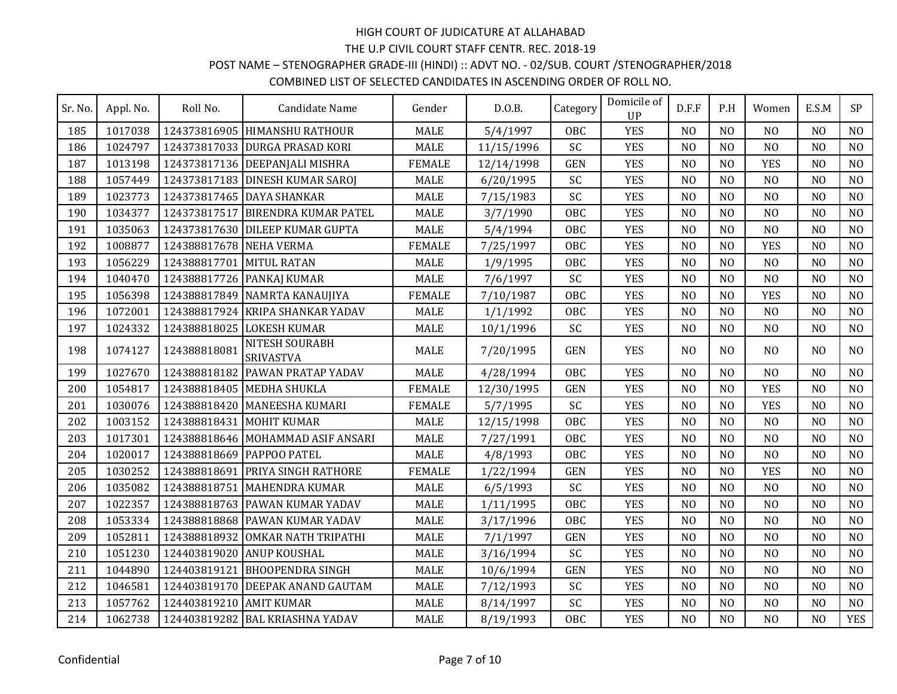## POST NAME – STENOGRAPHER GRADE-III (HINDI) :: ADVT NO. - 02/SUB. COURT /STENOGRAPHER/2018

| Sr. No. | Appl. No. | Roll No.                | Candidate Name                     | Gender        | D.0.B.     | Category   | Domicile of<br><b>UP</b> | D.F.F          | P.H            | Women          | E.S.M          | <b>SP</b>      |
|---------|-----------|-------------------------|------------------------------------|---------------|------------|------------|--------------------------|----------------|----------------|----------------|----------------|----------------|
| 185     | 1017038   |                         | 124373816905 HIMANSHU RATHOUR      | <b>MALE</b>   | 5/4/1997   | <b>OBC</b> | <b>YES</b>               | N <sub>O</sub> | N <sub>0</sub> | N <sub>O</sub> | N <sub>O</sub> | N <sub>O</sub> |
| 186     | 1024797   |                         | 124373817033 DURGA PRASAD KORI     | <b>MALE</b>   | 11/15/1996 | SC         | <b>YES</b>               | N <sub>O</sub> | N <sub>O</sub> | N <sub>O</sub> | N <sub>O</sub> | N <sub>0</sub> |
| 187     | 1013198   |                         | 124373817136 DEEPANJALI MISHRA     | <b>FEMALE</b> | 12/14/1998 | <b>GEN</b> | <b>YES</b>               | N <sub>0</sub> | N <sub>O</sub> | <b>YES</b>     | N <sub>O</sub> | N <sub>0</sub> |
| 188     | 1057449   |                         | 124373817183 DINESH KUMAR SAROJ    | <b>MALE</b>   | 6/20/1995  | SC         | <b>YES</b>               | N <sub>O</sub> | N <sub>0</sub> | N <sub>O</sub> | N <sub>O</sub> | N <sub>0</sub> |
| 189     | 1023773   |                         | 124373817465 DAYA SHANKAR          | <b>MALE</b>   | 7/15/1983  | SC         | <b>YES</b>               | N <sub>O</sub> | N <sub>O</sub> | N <sub>O</sub> | N <sub>O</sub> | N <sub>0</sub> |
| 190     | 1034377   | 124373817517            | <b>BIRENDRA KUMAR PATEL</b>        | <b>MALE</b>   | 3/7/1990   | OBC        | <b>YES</b>               | N <sub>O</sub> | N <sub>O</sub> | N <sub>O</sub> | N <sub>O</sub> | N <sub>O</sub> |
| 191     | 1035063   |                         | 124373817630 DILEEP KUMAR GUPTA    | <b>MALE</b>   | 5/4/1994   | <b>OBC</b> | <b>YES</b>               | N <sub>O</sub> | N <sub>O</sub> | N <sub>O</sub> | N <sub>O</sub> | N <sub>0</sub> |
| 192     | 1008877   | 124388817678 NEHA VERMA |                                    | <b>FEMALE</b> | 7/25/1997  | <b>OBC</b> | <b>YES</b>               | N <sub>0</sub> | N <sub>0</sub> | <b>YES</b>     | N <sub>O</sub> | N <sub>0</sub> |
| 193     | 1056229   | 124388817701            | <b>MITUL RATAN</b>                 | <b>MALE</b>   | 1/9/1995   | <b>OBC</b> | <b>YES</b>               | N <sub>O</sub> | N <sub>0</sub> | N <sub>O</sub> | N <sub>O</sub> | N <sub>0</sub> |
| 194     | 1040470   |                         | 124388817726 PANKAJ KUMAR          | <b>MALE</b>   | 7/6/1997   | SC         | <b>YES</b>               | N <sub>O</sub> | N <sub>O</sub> | N <sub>O</sub> | N <sub>O</sub> | N <sub>O</sub> |
| 195     | 1056398   | 124388817849            | NAMRTA KANAUJIYA                   | <b>FEMALE</b> | 7/10/1987  | <b>OBC</b> | <b>YES</b>               | N <sub>O</sub> | N <sub>O</sub> | <b>YES</b>     | N <sub>O</sub> | N <sub>O</sub> |
| 196     | 1072001   | 124388817924            | <b>KRIPA SHANKAR YADAV</b>         | <b>MALE</b>   | 1/1/1992   | <b>OBC</b> | <b>YES</b>               | N <sub>O</sub> | N <sub>O</sub> | N <sub>O</sub> | N <sub>O</sub> | N <sub>O</sub> |
| 197     | 1024332   |                         | 124388818025 LOKESH KUMAR          | <b>MALE</b>   | 10/1/1996  | SC         | <b>YES</b>               | N <sub>0</sub> | N <sub>0</sub> | N <sub>0</sub> | N <sub>O</sub> | N <sub>0</sub> |
| 198     | 1074127   | 124388818081            | NITESH SOURABH<br><b>SRIVASTVA</b> | <b>MALE</b>   | 7/20/1995  | <b>GEN</b> | <b>YES</b>               | N <sub>O</sub> | N <sub>O</sub> | N <sub>O</sub> | N <sub>O</sub> | N <sub>O</sub> |
| 199     | 1027670   | 124388818182            | <b>PAWAN PRATAP YADAV</b>          | <b>MALE</b>   | 4/28/1994  | <b>OBC</b> | <b>YES</b>               | N <sub>O</sub> | N <sub>O</sub> | N <sub>O</sub> | N <sub>O</sub> | N <sub>0</sub> |
| 200     | 1054817   | 124388818405            | <b>MEDHA SHUKLA</b>                | <b>FEMALE</b> | 12/30/1995 | <b>GEN</b> | <b>YES</b>               | N <sub>O</sub> | N <sub>0</sub> | <b>YES</b>     | N <sub>0</sub> | N <sub>0</sub> |
| 201     | 1030076   | 124388818420            | MANEESHA KUMARI                    | <b>FEMALE</b> | 5/7/1995   | SC         | <b>YES</b>               | N <sub>O</sub> | N <sub>O</sub> | <b>YES</b>     | N <sub>O</sub> | N <sub>O</sub> |
| 202     | 1003152   | 124388818431            | MOHIT KUMAR                        | <b>MALE</b>   | 12/15/1998 | <b>OBC</b> | <b>YES</b>               | N <sub>O</sub> | N <sub>O</sub> | N <sub>O</sub> | N <sub>O</sub> | N <sub>O</sub> |
| 203     | 1017301   |                         | 124388818646 MOHAMMAD ASIF ANSARI  | <b>MALE</b>   | 7/27/1991  | <b>OBC</b> | <b>YES</b>               | N <sub>0</sub> | N <sub>O</sub> | N <sub>O</sub> | N <sub>O</sub> | N <sub>0</sub> |
| 204     | 1020017   | 124388818669            | <b>PAPPOO PATEL</b>                | <b>MALE</b>   | 4/8/1993   | OBC        | <b>YES</b>               | N <sub>O</sub> | N <sub>O</sub> | N <sub>O</sub> | N <sub>O</sub> | N <sub>O</sub> |
| 205     | 1030252   | 124388818691            | <b>PRIYA SINGH RATHORE</b>         | <b>FEMALE</b> | 1/22/1994  | <b>GEN</b> | <b>YES</b>               | N <sub>O</sub> | N <sub>0</sub> | <b>YES</b>     | N <sub>0</sub> | N <sub>0</sub> |
| 206     | 1035082   | 124388818751            | MAHENDRA KUMAR                     | <b>MALE</b>   | 6/5/1993   | SC         | <b>YES</b>               | N <sub>O</sub> | N <sub>O</sub> | N <sub>O</sub> | N <sub>O</sub> | N <sub>O</sub> |
| 207     | 1022357   | 124388818763            | <b>PAWAN KUMAR YADAV</b>           | <b>MALE</b>   | 1/11/1995  | <b>OBC</b> | <b>YES</b>               | N <sub>O</sub> | N <sub>O</sub> | N <sub>O</sub> | N <sub>O</sub> | N <sub>O</sub> |
| 208     | 1053334   |                         | 124388818868 PAWAN KUMAR YADAV     | <b>MALE</b>   | 3/17/1996  | <b>OBC</b> | <b>YES</b>               | N <sub>0</sub> | N <sub>O</sub> | N <sub>O</sub> | N <sub>O</sub> | N <sub>O</sub> |
| 209     | 1052811   | 124388818932            | OMKAR NATH TRIPATHI                | <b>MALE</b>   | 7/1/1997   | <b>GEN</b> | <b>YES</b>               | N <sub>O</sub> | N <sub>O</sub> | N <sub>O</sub> | N <sub>O</sub> | N <sub>0</sub> |
| 210     | 1051230   | 124403819020            | <b>ANUP KOUSHAL</b>                | <b>MALE</b>   | 3/16/1994  | SC         | <b>YES</b>               | N <sub>0</sub> | N <sub>0</sub> | N <sub>O</sub> | N <sub>O</sub> | N <sub>0</sub> |
| 211     | 1044890   | 124403819121            | <b>BHOOPENDRA SINGH</b>            | <b>MALE</b>   | 10/6/1994  | <b>GEN</b> | <b>YES</b>               | N <sub>O</sub> | N <sub>O</sub> | N <sub>O</sub> | N <sub>O</sub> | N <sub>O</sub> |
| 212     | 1046581   |                         | 124403819170 DEEPAK ANAND GAUTAM   | <b>MALE</b>   | 7/12/1993  | SC         | <b>YES</b>               | N <sub>O</sub> | N <sub>O</sub> | N <sub>O</sub> | N <sub>O</sub> | N <sub>O</sub> |
| 213     | 1057762   | 124403819210            | <b>AMIT KUMAR</b>                  | <b>MALE</b>   | 8/14/1997  | SC         | <b>YES</b>               | N <sub>0</sub> | N <sub>0</sub> | N <sub>0</sub> | N <sub>O</sub> | N <sub>0</sub> |
| 214     | 1062738   |                         | 124403819282 BAL KRIASHNA YADAV    | <b>MALE</b>   | 8/19/1993  | OBC        | <b>YES</b>               | N <sub>O</sub> | N <sub>O</sub> | N <sub>O</sub> | N <sub>O</sub> | <b>YES</b>     |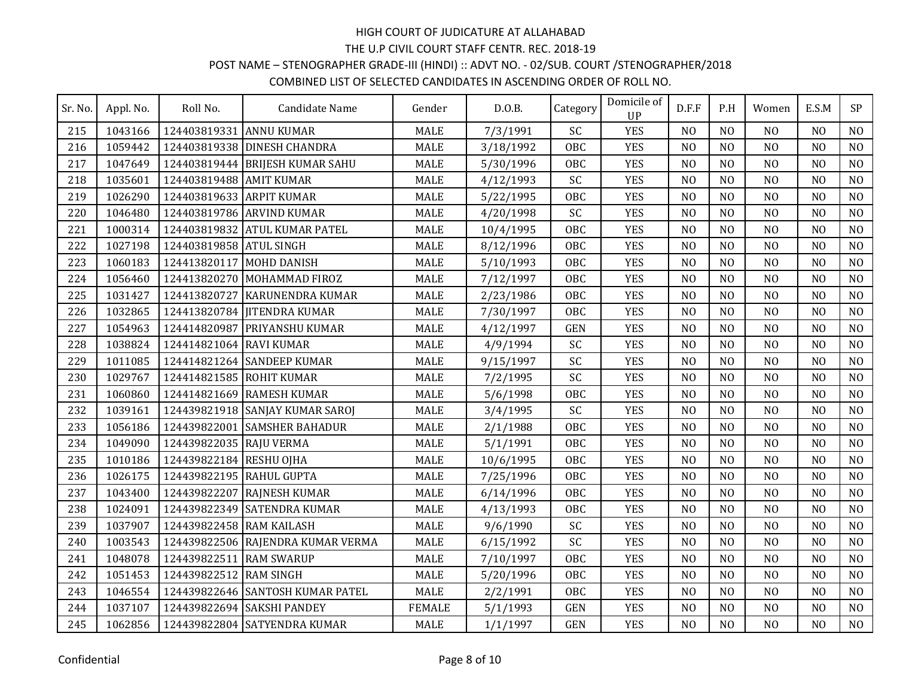### POST NAME – STENOGRAPHER GRADE-III (HINDI) :: ADVT NO. - 02/SUB. COURT /STENOGRAPHER/2018

| Sr. No. | Appl. No. | Roll No.                 | Candidate Name                    | Gender        | D.0.B.    | Category   | Domicile of<br>UP | D.F.F          | P.H            | Women          | E.S.M          | <b>SP</b>      |
|---------|-----------|--------------------------|-----------------------------------|---------------|-----------|------------|-------------------|----------------|----------------|----------------|----------------|----------------|
| 215     | 1043166   | 124403819331             | <b>ANNU KUMAR</b>                 | <b>MALE</b>   | 7/3/1991  | SC         | <b>YES</b>        | N <sub>O</sub> | N <sub>0</sub> | N <sub>O</sub> | N <sub>0</sub> | N <sub>0</sub> |
| 216     | 1059442   |                          | 124403819338 DINESH CHANDRA       | <b>MALE</b>   | 3/18/1992 | <b>OBC</b> | <b>YES</b>        | N <sub>O</sub> | N <sub>O</sub> | N <sub>O</sub> | N <sub>O</sub> | N <sub>0</sub> |
| 217     | 1047649   |                          | 124403819444 BRIJESH KUMAR SAHU   | <b>MALE</b>   | 5/30/1996 | <b>OBC</b> | <b>YES</b>        | N <sub>O</sub> | N <sub>O</sub> | N <sub>O</sub> | N <sub>O</sub> | N <sub>O</sub> |
| 218     | 1035601   | 124403819488 AMIT KUMAR  |                                   | <b>MALE</b>   | 4/12/1993 | SC         | <b>YES</b>        | N <sub>O</sub> | N <sub>O</sub> | N <sub>O</sub> | N <sub>O</sub> | N <sub>O</sub> |
| 219     | 1026290   | 124403819633 ARPIT KUMAR |                                   | <b>MALE</b>   | 5/22/1995 | <b>OBC</b> | <b>YES</b>        | N <sub>0</sub> | N <sub>O</sub> | N <sub>O</sub> | N <sub>O</sub> | N <sub>0</sub> |
| 220     | 1046480   |                          | 124403819786 ARVIND KUMAR         | <b>MALE</b>   | 4/20/1998 | SC         | <b>YES</b>        | N <sub>O</sub> | N <sub>O</sub> | N <sub>O</sub> | N <sub>O</sub> | N <sub>O</sub> |
| 221     | 1000314   |                          | 124403819832 ATUL KUMAR PATEL     | <b>MALE</b>   | 10/4/1995 | <b>OBC</b> | <b>YES</b>        | N <sub>O</sub> | N <sub>O</sub> | N <sub>O</sub> | N <sub>O</sub> | N <sub>O</sub> |
| 222     | 1027198   | 124403819858 ATUL SINGH  |                                   | <b>MALE</b>   | 8/12/1996 | <b>OBC</b> | <b>YES</b>        | N <sub>O</sub> | N <sub>O</sub> | N <sub>O</sub> | N <sub>O</sub> | N <sub>O</sub> |
| 223     | 1060183   | 124413820117 MOHD DANISH |                                   | <b>MALE</b>   | 5/10/1993 | <b>OBC</b> | <b>YES</b>        | N <sub>0</sub> | N <sub>0</sub> | N <sub>O</sub> | N <sub>O</sub> | N <sub>0</sub> |
| 224     | 1056460   |                          | 124413820270 MOHAMMAD FIROZ       | <b>MALE</b>   | 7/12/1997 | <b>OBC</b> | <b>YES</b>        | N <sub>O</sub> | N <sub>O</sub> | N <sub>O</sub> | N <sub>O</sub> | N <sub>O</sub> |
| 225     | 1031427   |                          | 124413820727 KARUNENDRA KUMAR     | <b>MALE</b>   | 2/23/1986 | <b>OBC</b> | <b>YES</b>        | N <sub>O</sub> | N <sub>O</sub> | N <sub>O</sub> | N <sub>O</sub> | N <sub>0</sub> |
| 226     | 1032865   |                          | 124413820784 JITENDRA KUMAR       | <b>MALE</b>   | 7/30/1997 | <b>OBC</b> | <b>YES</b>        | N <sub>0</sub> | N <sub>0</sub> | N <sub>0</sub> | N <sub>O</sub> | N <sub>0</sub> |
| 227     | 1054963   | 124414820987             | <b>PRIYANSHU KUMAR</b>            | <b>MALE</b>   | 4/12/1997 | <b>GEN</b> | <b>YES</b>        | N <sub>O</sub> | N <sub>O</sub> | N <sub>O</sub> | N <sub>O</sub> | N <sub>O</sub> |
| 228     | 1038824   | 124414821064 RAVI KUMAR  |                                   | <b>MALE</b>   | 4/9/1994  | SC         | <b>YES</b>        | N <sub>0</sub> | N <sub>O</sub> | N <sub>O</sub> | N <sub>O</sub> | N <sub>O</sub> |
| 229     | 1011085   |                          | 124414821264 SANDEEP KUMAR        | <b>MALE</b>   | 9/15/1997 | SC         | <b>YES</b>        | N <sub>O</sub> | N <sub>O</sub> | N <sub>O</sub> | N <sub>O</sub> | N <sub>0</sub> |
| 230     | 1029767   | 124414821585 ROHIT KUMAR |                                   | <b>MALE</b>   | 7/2/1995  | SC         | <b>YES</b>        | N <sub>O</sub> | N <sub>O</sub> | N <sub>O</sub> | N <sub>O</sub> | N <sub>O</sub> |
| 231     | 1060860   |                          | 124414821669 RAMESH KUMAR         | <b>MALE</b>   | 5/6/1998  | OBC        | <b>YES</b>        | N <sub>O</sub> | N <sub>O</sub> | N <sub>O</sub> | N <sub>O</sub> | N <sub>O</sub> |
| 232     | 1039161   |                          | 124439821918 SANJAY KUMAR SAROJ   | <b>MALE</b>   | 3/4/1995  | SC         | <b>YES</b>        | N <sub>O</sub> | N <sub>O</sub> | N <sub>O</sub> | N <sub>O</sub> | N <sub>O</sub> |
| 233     | 1056186   | 124439822001             | <b>SAMSHER BAHADUR</b>            | <b>MALE</b>   | 2/1/1988  | <b>OBC</b> | <b>YES</b>        | N <sub>0</sub> | N <sub>0</sub> | N <sub>0</sub> | N <sub>O</sub> | N <sub>0</sub> |
| 234     | 1049090   | 124439822035 RAJU VERMA  |                                   | <b>MALE</b>   | 5/1/1991  | <b>OBC</b> | <b>YES</b>        | N <sub>O</sub> | N <sub>O</sub> | N <sub>O</sub> | N <sub>O</sub> | N <sub>0</sub> |
| 235     | 1010186   | 124439822184 RESHU OJHA  |                                   | <b>MALE</b>   | 10/6/1995 | OBC        | <b>YES</b>        | N <sub>0</sub> | N <sub>O</sub> | N <sub>O</sub> | N <sub>O</sub> | N <sub>O</sub> |
| 236     | 1026175   | 124439822195 RAHUL GUPTA |                                   | <b>MALE</b>   | 7/25/1996 | <b>OBC</b> | <b>YES</b>        | N <sub>O</sub> | N <sub>O</sub> | N <sub>O</sub> | N <sub>O</sub> | N <sub>O</sub> |
| 237     | 1043400   |                          | 124439822207 RAJNESH KUMAR        | <b>MALE</b>   | 6/14/1996 | <b>OBC</b> | <b>YES</b>        | N <sub>O</sub> | N <sub>O</sub> | N <sub>O</sub> | N <sub>O</sub> | N <sub>0</sub> |
| 238     | 1024091   |                          | 124439822349 SATENDRA KUMAR       | <b>MALE</b>   | 4/13/1993 | <b>OBC</b> | <b>YES</b>        | N <sub>O</sub> | N <sub>O</sub> | N <sub>O</sub> | N <sub>O</sub> | N <sub>O</sub> |
| 239     | 1037907   | 124439822458 RAM KAILASH |                                   | <b>MALE</b>   | 9/6/1990  | SC         | <b>YES</b>        | N <sub>O</sub> | N <sub>O</sub> | N <sub>O</sub> | N <sub>O</sub> | N <sub>O</sub> |
| 240     | 1003543   |                          | 124439822506 RAJENDRA KUMAR VERMA | <b>MALE</b>   | 6/15/1992 | SC         | <b>YES</b>        | N <sub>O</sub> | N <sub>O</sub> | N <sub>O</sub> | N <sub>O</sub> | N <sub>O</sub> |
| 241     | 1048078   | 124439822511             | <b>RAM SWARUP</b>                 | <b>MALE</b>   | 7/10/1997 | <b>OBC</b> | <b>YES</b>        | N <sub>O</sub> | N <sub>O</sub> | N <sub>O</sub> | N <sub>O</sub> | N <sub>O</sub> |
| 242     | 1051453   | 124439822512 RAM SINGH   |                                   | <b>MALE</b>   | 5/20/1996 | <b>OBC</b> | <b>YES</b>        | N <sub>O</sub> | N <sub>O</sub> | N <sub>O</sub> | N <sub>O</sub> | N <sub>0</sub> |
| 243     | 1046554   |                          | 124439822646 SANTOSH KUMAR PATEL  | <b>MALE</b>   | 2/2/1991  | <b>OBC</b> | <b>YES</b>        | N <sub>O</sub> | N <sub>O</sub> | N <sub>O</sub> | N <sub>O</sub> | N <sub>O</sub> |
| 244     | 1037107   |                          | 124439822694 SAKSHI PANDEY        | <b>FEMALE</b> | 5/1/1993  | <b>GEN</b> | <b>YES</b>        | N <sub>O</sub> | N <sub>O</sub> | N <sub>O</sub> | N <sub>O</sub> | N <sub>0</sub> |
| 245     | 1062856   |                          | 124439822804 SATYENDRA KUMAR      | <b>MALE</b>   | 1/1/1997  | <b>GEN</b> | <b>YES</b>        | N <sub>0</sub> | N <sub>O</sub> | N <sub>O</sub> | N <sub>O</sub> | N <sub>O</sub> |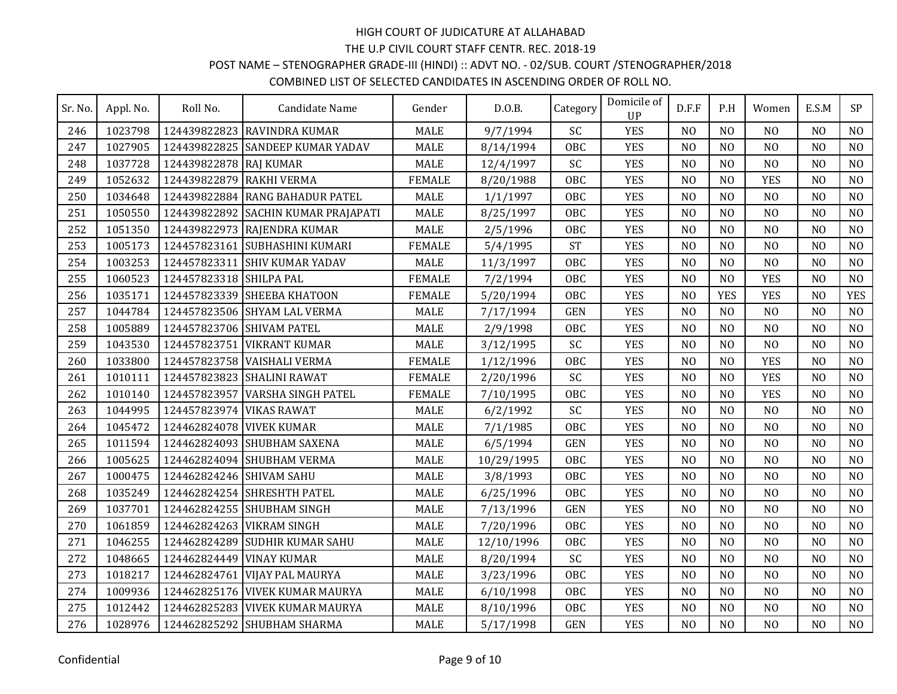### POST NAME – STENOGRAPHER GRADE-III (HINDI) :: ADVT NO. - 02/SUB. COURT /STENOGRAPHER/2018

| Sr. No. | Appl. No. | Roll No.                  | Candidate Name                      | Gender        | D.0.B.     | Category   | Domicile of<br><b>UP</b> | D.F.F          | P.H            | Women          | E.S.M          | SP             |
|---------|-----------|---------------------------|-------------------------------------|---------------|------------|------------|--------------------------|----------------|----------------|----------------|----------------|----------------|
| 246     | 1023798   |                           | 124439822823 RAVINDRA KUMAR         | <b>MALE</b>   | 9/7/1994   | SC         | <b>YES</b>               | N <sub>0</sub> | N <sub>O</sub> | N <sub>O</sub> | N <sub>O</sub> | N <sub>O</sub> |
| 247     | 1027905   |                           | 124439822825 SANDEEP KUMAR YADAV    | <b>MALE</b>   | 8/14/1994  | <b>OBC</b> | <b>YES</b>               | N <sub>O</sub> | N <sub>O</sub> | N <sub>O</sub> | N <sub>O</sub> | N <sub>O</sub> |
| 248     | 1037728   | 124439822878 RAJ KUMAR    |                                     | <b>MALE</b>   | 12/4/1997  | SC         | <b>YES</b>               | N <sub>O</sub> | N <sub>0</sub> | N <sub>O</sub> | N <sub>O</sub> | N <sub>O</sub> |
| 249     | 1052632   | 124439822879              | RAKHI VERMA                         | <b>FEMALE</b> | 8/20/1988  | OBC        | <b>YES</b>               | N <sub>O</sub> | N <sub>0</sub> | <b>YES</b>     | N <sub>O</sub> | N <sub>O</sub> |
| 250     | 1034648   |                           | 124439822884 RANG BAHADUR PATEL     | <b>MALE</b>   | 1/1/1997   | OBC        | <b>YES</b>               | N <sub>O</sub> | N <sub>O</sub> | N <sub>O</sub> | N <sub>O</sub> | N <sub>O</sub> |
| 251     | 1050550   |                           | 124439822892 SACHIN KUMAR PRAJAPATI | <b>MALE</b>   | 8/25/1997  | <b>OBC</b> | <b>YES</b>               | N <sub>O</sub> | NO             | N <sub>O</sub> | N <sub>O</sub> | N <sub>O</sub> |
| 252     | 1051350   |                           | 124439822973 RAJENDRA KUMAR         | <b>MALE</b>   | 2/5/1996   | <b>OBC</b> | <b>YES</b>               | N <sub>O</sub> | N <sub>O</sub> | N <sub>O</sub> | N <sub>O</sub> | N <sub>O</sub> |
| 253     | 1005173   |                           | 124457823161 SUBHASHINI KUMARI      | <b>FEMALE</b> | 5/4/1995   | <b>ST</b>  | <b>YES</b>               | N <sub>O</sub> | N <sub>0</sub> | N <sub>O</sub> | N <sub>0</sub> | N <sub>O</sub> |
| 254     | 1003253   | 124457823311              | <b>SHIV KUMAR YADAV</b>             | <b>MALE</b>   | 11/3/1997  | <b>OBC</b> | <b>YES</b>               | N <sub>O</sub> | N <sub>0</sub> | N <sub>O</sub> | N <sub>O</sub> | N <sub>O</sub> |
| 255     | 1060523   | 124457823318 SHILPA PAL   |                                     | <b>FEMALE</b> | 7/2/1994   | <b>OBC</b> | <b>YES</b>               | N <sub>0</sub> | N <sub>0</sub> | <b>YES</b>     | N <sub>0</sub> | N <sub>O</sub> |
| 256     | 1035171   |                           | 124457823339 SHEEBA KHATOON         | <b>FEMALE</b> | 5/20/1994  | OBC        | <b>YES</b>               | N <sub>O</sub> | <b>YES</b>     | <b>YES</b>     | N <sub>0</sub> | <b>YES</b>     |
| 257     | 1044784   |                           | 124457823506 SHYAM LAL VERMA        | <b>MALE</b>   | 7/17/1994  | <b>GEN</b> | <b>YES</b>               | N <sub>O</sub> | N <sub>O</sub> | N <sub>O</sub> | N <sub>O</sub> | N <sub>O</sub> |
| 258     | 1005889   | 124457823706 SHIVAM PATEL |                                     | <b>MALE</b>   | 2/9/1998   | <b>OBC</b> | <b>YES</b>               | N <sub>O</sub> | N <sub>O</sub> | N <sub>O</sub> | N <sub>O</sub> | N <sub>O</sub> |
| 259     | 1043530   |                           | 124457823751 VIKRANT KUMAR          | <b>MALE</b>   | 3/12/1995  | SC         | <b>YES</b>               | N <sub>O</sub> | N <sub>O</sub> | N <sub>O</sub> | N <sub>O</sub> | N <sub>O</sub> |
| 260     | 1033800   |                           | 124457823758 VAISHALI VERMA         | <b>FEMALE</b> | 1/12/1996  | <b>OBC</b> | <b>YES</b>               | N <sub>O</sub> | N <sub>O</sub> | <b>YES</b>     | N <sub>O</sub> | N <sub>O</sub> |
| 261     | 1010111   |                           | 124457823823 SHALINI RAWAT          | <b>FEMALE</b> | 2/20/1996  | SC         | <b>YES</b>               | N <sub>O</sub> | N <sub>O</sub> | <b>YES</b>     | N <sub>O</sub> | N <sub>O</sub> |
| 262     | 1010140   | 124457823957              | <b>VARSHA SINGH PATEL</b>           | <b>FEMALE</b> | 7/10/1995  | <b>OBC</b> | <b>YES</b>               | N <sub>O</sub> | N <sub>0</sub> | <b>YES</b>     | N <sub>0</sub> | N <sub>O</sub> |
| 263     | 1044995   | 124457823974 VIKAS RAWAT  |                                     | <b>MALE</b>   | 6/2/1992   | SC         | <b>YES</b>               | N <sub>O</sub> | N <sub>O</sub> | N <sub>O</sub> | N <sub>O</sub> | N <sub>O</sub> |
| 264     | 1045472   | 124462824078 VIVEK KUMAR  |                                     | <b>MALE</b>   | 7/1/1985   | <b>OBC</b> | <b>YES</b>               | N <sub>O</sub> | N <sub>0</sub> | N <sub>O</sub> | N <sub>O</sub> | N <sub>O</sub> |
| 265     | 1011594   |                           | 124462824093 SHUBHAM SAXENA         | <b>MALE</b>   | 6/5/1994   | <b>GEN</b> | <b>YES</b>               | N <sub>O</sub> | N <sub>O</sub> | N <sub>O</sub> | N <sub>O</sub> | N <sub>O</sub> |
| 266     | 1005625   |                           | 124462824094 SHUBHAM VERMA          | <b>MALE</b>   | 10/29/1995 | OBC        | <b>YES</b>               | N <sub>O</sub> | N <sub>O</sub> | N <sub>O</sub> | N <sub>O</sub> | N <sub>O</sub> |
| 267     | 1000475   | 124462824246 SHIVAM SAHU  |                                     | <b>MALE</b>   | 3/8/1993   | OBC        | <b>YES</b>               | N <sub>0</sub> | N <sub>0</sub> | N <sub>O</sub> | N <sub>0</sub> | N <sub>O</sub> |
| 268     | 1035249   |                           | 124462824254 SHRESHTH PATEL         | <b>MALE</b>   | 6/25/1996  | <b>OBC</b> | <b>YES</b>               | N <sub>O</sub> | N <sub>O</sub> | N <sub>O</sub> | N <sub>O</sub> | N <sub>O</sub> |
| 269     | 1037701   |                           | 124462824255 SHUBHAM SINGH          | <b>MALE</b>   | 7/13/1996  | <b>GEN</b> | <b>YES</b>               | N <sub>O</sub> | N <sub>O</sub> | N <sub>O</sub> | N <sub>O</sub> | N <sub>O</sub> |
| 270     | 1061859   | 124462824263 VIKRAM SINGH |                                     | <b>MALE</b>   | 7/20/1996  | OBC        | <b>YES</b>               | N <sub>O</sub> | N <sub>O</sub> | N <sub>O</sub> | N <sub>O</sub> | N <sub>O</sub> |
| 271     | 1046255   |                           | 124462824289 SUDHIR KUMAR SAHU      | <b>MALE</b>   | 12/10/1996 | <b>OBC</b> | <b>YES</b>               | N <sub>O</sub> | N <sub>O</sub> | N <sub>O</sub> | N <sub>O</sub> | NO             |
| 272     | 1048665   | 124462824449 VINAY KUMAR  |                                     | <b>MALE</b>   | 8/20/1994  | SC         | <b>YES</b>               | N <sub>O</sub> | N <sub>0</sub> | N <sub>O</sub> | N <sub>O</sub> | N <sub>O</sub> |
| 273     | 1018217   | 124462824761              | <b>VIJAY PAL MAURYA</b>             | <b>MALE</b>   | 3/23/1996  | <b>OBC</b> | <b>YES</b>               | N <sub>O</sub> | N <sub>0</sub> | N <sub>O</sub> | N <sub>O</sub> | N <sub>O</sub> |
| 274     | 1009936   |                           | 124462825176 VIVEK KUMAR MAURYA     | <b>MALE</b>   | 6/10/1998  | <b>OBC</b> | <b>YES</b>               | N <sub>O</sub> | N <sub>0</sub> | N <sub>0</sub> | N <sub>O</sub> | N <sub>O</sub> |
| 275     | 1012442   |                           | 124462825283 VIVEK KUMAR MAURYA     | <b>MALE</b>   | 8/10/1996  | <b>OBC</b> | <b>YES</b>               | N <sub>O</sub> | N <sub>O</sub> | N <sub>O</sub> | N <sub>O</sub> | N <sub>O</sub> |
| 276     | 1028976   |                           | 124462825292 SHUBHAM SHARMA         | <b>MALE</b>   | 5/17/1998  | <b>GEN</b> | <b>YES</b>               | N <sub>O</sub> | N <sub>O</sub> | N <sub>O</sub> | N <sub>O</sub> | N <sub>O</sub> |